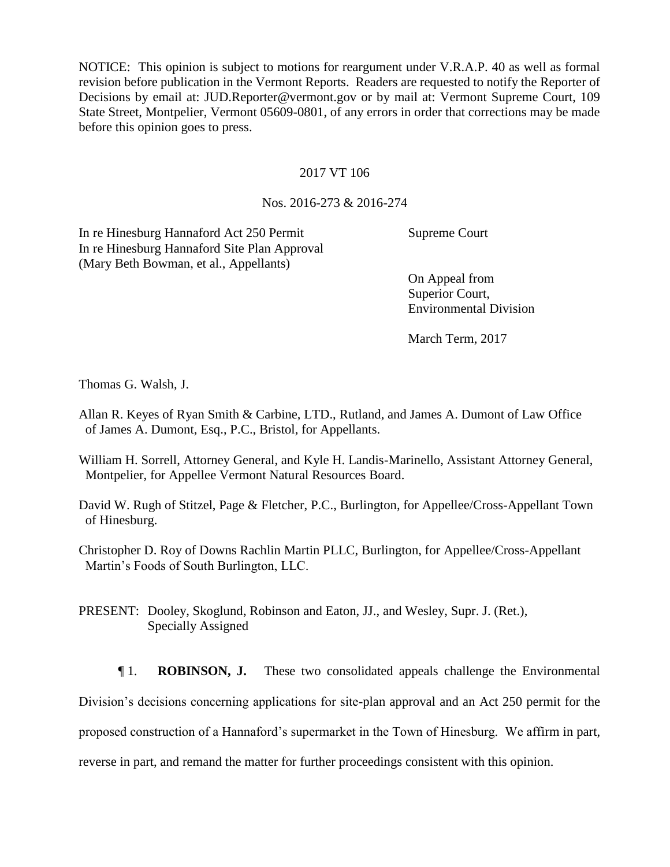NOTICE: This opinion is subject to motions for reargument under V.R.A.P. 40 as well as formal revision before publication in the Vermont Reports. Readers are requested to notify the Reporter of Decisions by email at: JUD.Reporter@vermont.gov or by mail at: Vermont Supreme Court, 109 State Street, Montpelier, Vermont 05609-0801, of any errors in order that corrections may be made before this opinion goes to press.

#### 2017 VT 106

## Nos. 2016-273 & 2016-274

In re Hinesburg Hannaford Act 250 Permit In re Hinesburg Hannaford Site Plan Approval (Mary Beth Bowman, et al., Appellants)

Supreme Court

On Appeal from Superior Court, Environmental Division

March Term, 2017

Thomas G. Walsh, J.

- Allan R. Keyes of Ryan Smith & Carbine, LTD., Rutland, and James A. Dumont of Law Office of James A. Dumont, Esq., P.C., Bristol, for Appellants.
- William H. Sorrell, Attorney General, and Kyle H. Landis-Marinello, Assistant Attorney General, Montpelier, for Appellee Vermont Natural Resources Board.

David W. Rugh of Stitzel, Page & Fletcher, P.C., Burlington, for Appellee/Cross-Appellant Town of Hinesburg.

Christopher D. Roy of Downs Rachlin Martin PLLC, Burlington, for Appellee/Cross-Appellant Martin's Foods of South Burlington, LLC.

PRESENT: Dooley, Skoglund, Robinson and Eaton, JJ., and Wesley, Supr. J. (Ret.), Specially Assigned

¶ 1. **ROBINSON, J.** These two consolidated appeals challenge the Environmental Division's decisions concerning applications for site-plan approval and an Act 250 permit for the proposed construction of a Hannaford's supermarket in the Town of Hinesburg. We affirm in part, reverse in part, and remand the matter for further proceedings consistent with this opinion.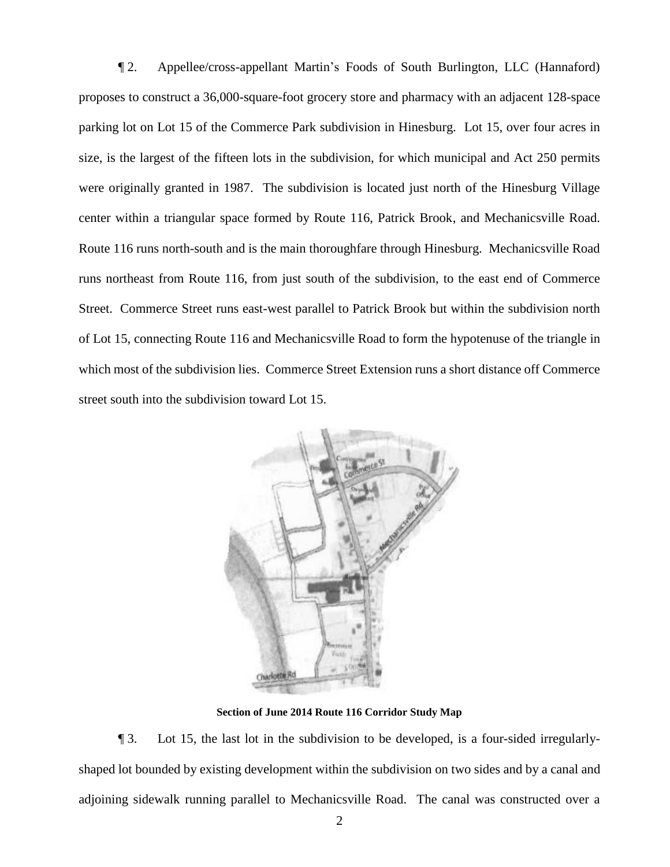¶ 2. Appellee/cross-appellant Martin's Foods of South Burlington, LLC (Hannaford) proposes to construct a 36,000-square-foot grocery store and pharmacy with an adjacent 128-space parking lot on Lot 15 of the Commerce Park subdivision in Hinesburg. Lot 15, over four acres in size, is the largest of the fifteen lots in the subdivision, for which municipal and Act 250 permits were originally granted in 1987. The subdivision is located just north of the Hinesburg Village center within a triangular space formed by Route 116, Patrick Brook, and Mechanicsville Road. Route 116 runs north-south and is the main thoroughfare through Hinesburg. Mechanicsville Road runs northeast from Route 116, from just south of the subdivision, to the east end of Commerce Street. Commerce Street runs east-west parallel to Patrick Brook but within the subdivision north of Lot 15, connecting Route 116 and Mechanicsville Road to form the hypotenuse of the triangle in which most of the subdivision lies. Commerce Street Extension runs a short distance off Commerce street south into the subdivision toward Lot 15.



**Section of June 2014 Route 116 Corridor Study Map**

¶ 3. Lot 15, the last lot in the subdivision to be developed, is a four-sided irregularlyshaped lot bounded by existing development within the subdivision on two sides and by a canal and adjoining sidewalk running parallel to Mechanicsville Road. The canal was constructed over a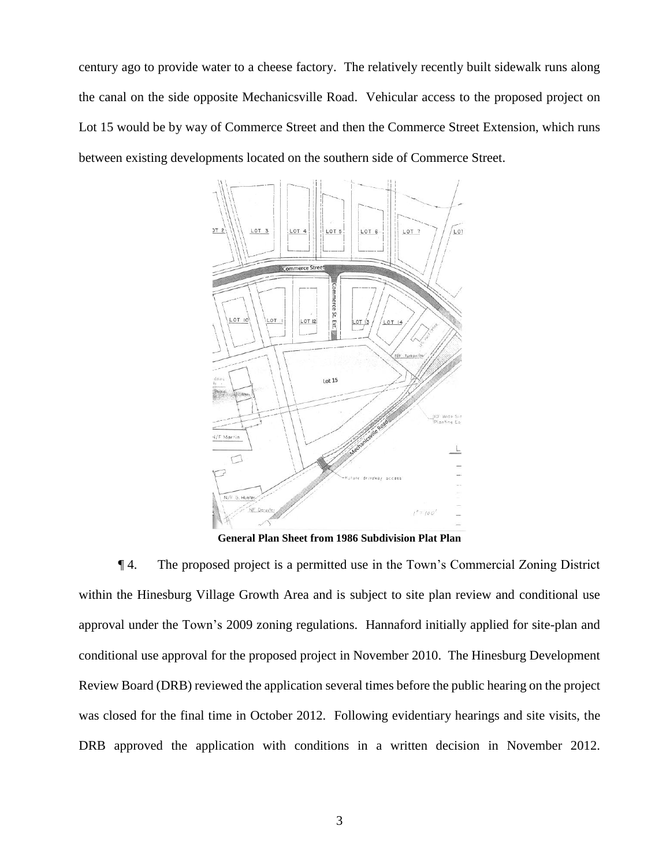century ago to provide water to a cheese factory. The relatively recently built sidewalk runs along the canal on the side opposite Mechanicsville Road. Vehicular access to the proposed project on Lot 15 would be by way of Commerce Street and then the Commerce Street Extension, which runs between existing developments located on the southern side of Commerce Street.



**General Plan Sheet from 1986 Subdivision Plat Plan**

¶ 4. The proposed project is a permitted use in the Town's Commercial Zoning District within the Hinesburg Village Growth Area and is subject to site plan review and conditional use approval under the Town's 2009 zoning regulations. Hannaford initially applied for site-plan and conditional use approval for the proposed project in November 2010. The Hinesburg Development Review Board (DRB) reviewed the application several times before the public hearing on the project was closed for the final time in October 2012. Following evidentiary hearings and site visits, the DRB approved the application with conditions in a written decision in November 2012.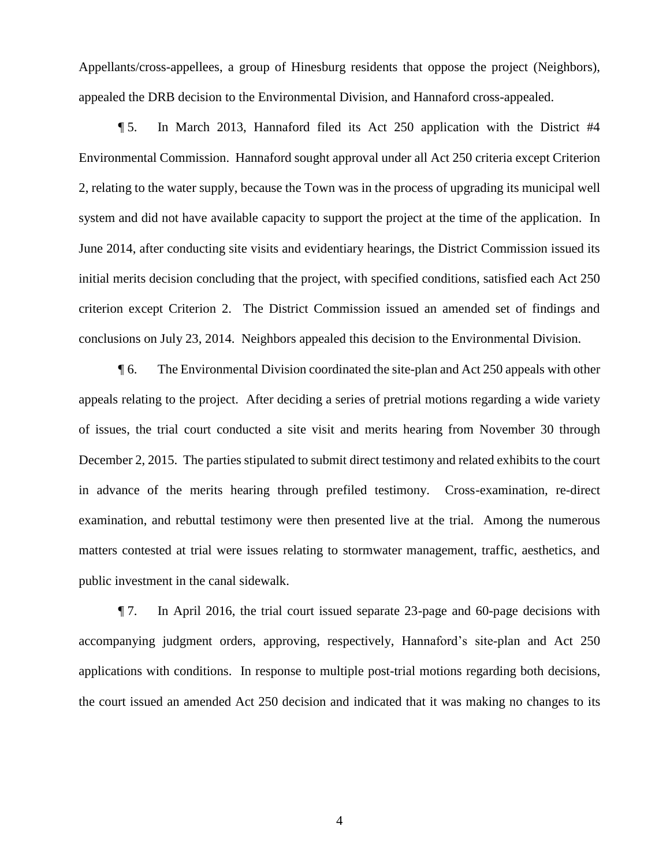Appellants/cross-appellees, a group of Hinesburg residents that oppose the project (Neighbors), appealed the DRB decision to the Environmental Division, and Hannaford cross-appealed.

¶ 5. In March 2013, Hannaford filed its Act 250 application with the District #4 Environmental Commission. Hannaford sought approval under all Act 250 criteria except Criterion 2, relating to the water supply, because the Town was in the process of upgrading its municipal well system and did not have available capacity to support the project at the time of the application. In June 2014, after conducting site visits and evidentiary hearings, the District Commission issued its initial merits decision concluding that the project, with specified conditions, satisfied each Act 250 criterion except Criterion 2. The District Commission issued an amended set of findings and conclusions on July 23, 2014. Neighbors appealed this decision to the Environmental Division.

¶ 6. The Environmental Division coordinated the site-plan and Act 250 appeals with other appeals relating to the project. After deciding a series of pretrial motions regarding a wide variety of issues, the trial court conducted a site visit and merits hearing from November 30 through December 2, 2015. The parties stipulated to submit direct testimony and related exhibits to the court in advance of the merits hearing through prefiled testimony. Cross-examination, re-direct examination, and rebuttal testimony were then presented live at the trial. Among the numerous matters contested at trial were issues relating to stormwater management, traffic, aesthetics, and public investment in the canal sidewalk.

¶ 7. In April 2016, the trial court issued separate 23-page and 60-page decisions with accompanying judgment orders, approving, respectively, Hannaford's site-plan and Act 250 applications with conditions. In response to multiple post-trial motions regarding both decisions, the court issued an amended Act 250 decision and indicated that it was making no changes to its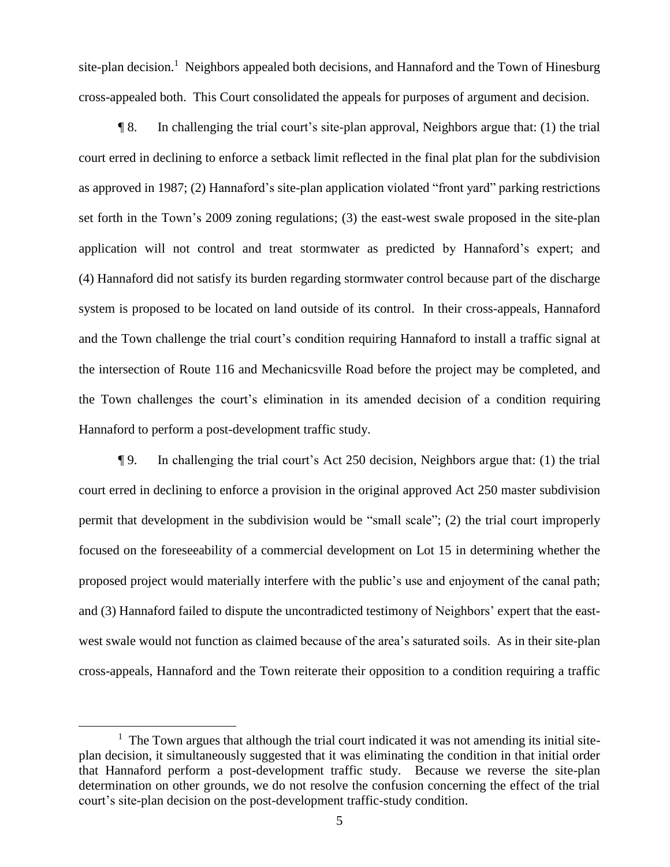site-plan decision.<sup>1</sup> Neighbors appealed both decisions, and Hannaford and the Town of Hinesburg cross-appealed both. This Court consolidated the appeals for purposes of argument and decision.

¶ 8. In challenging the trial court's site-plan approval, Neighbors argue that: (1) the trial court erred in declining to enforce a setback limit reflected in the final plat plan for the subdivision as approved in 1987; (2) Hannaford's site-plan application violated "front yard" parking restrictions set forth in the Town's 2009 zoning regulations; (3) the east-west swale proposed in the site-plan application will not control and treat stormwater as predicted by Hannaford's expert; and (4) Hannaford did not satisfy its burden regarding stormwater control because part of the discharge system is proposed to be located on land outside of its control. In their cross-appeals, Hannaford and the Town challenge the trial court's condition requiring Hannaford to install a traffic signal at the intersection of Route 116 and Mechanicsville Road before the project may be completed, and the Town challenges the court's elimination in its amended decision of a condition requiring Hannaford to perform a post-development traffic study.

¶ 9. In challenging the trial court's Act 250 decision, Neighbors argue that: (1) the trial court erred in declining to enforce a provision in the original approved Act 250 master subdivision permit that development in the subdivision would be "small scale"; (2) the trial court improperly focused on the foreseeability of a commercial development on Lot 15 in determining whether the proposed project would materially interfere with the public's use and enjoyment of the canal path; and (3) Hannaford failed to dispute the uncontradicted testimony of Neighbors' expert that the eastwest swale would not function as claimed because of the area's saturated soils. As in their site-plan cross-appeals, Hannaford and the Town reiterate their opposition to a condition requiring a traffic

<sup>&</sup>lt;sup>1</sup> The Town argues that although the trial court indicated it was not amending its initial siteplan decision, it simultaneously suggested that it was eliminating the condition in that initial order that Hannaford perform a post-development traffic study. Because we reverse the site-plan determination on other grounds, we do not resolve the confusion concerning the effect of the trial court's site-plan decision on the post-development traffic-study condition.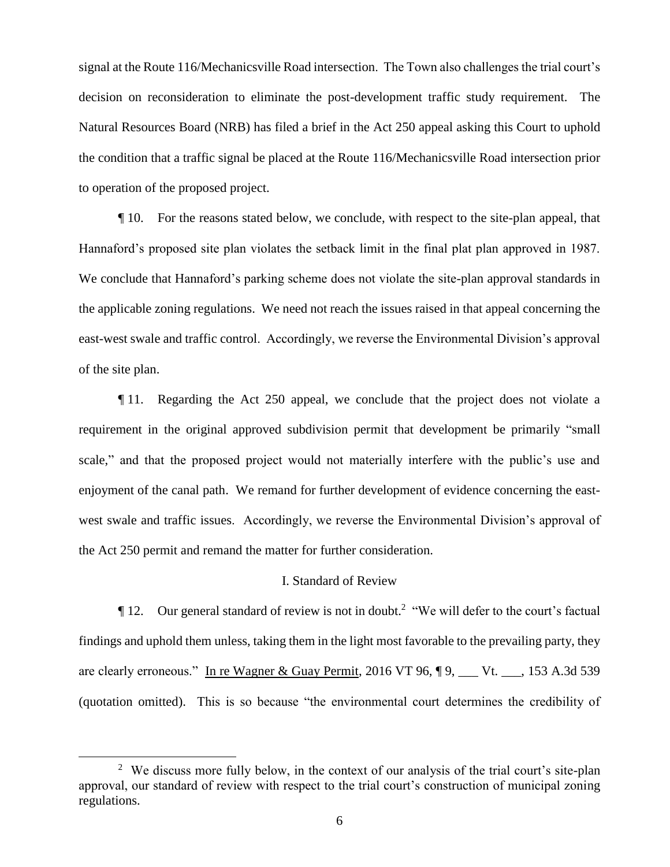signal at the Route 116/Mechanicsville Road intersection. The Town also challenges the trial court's decision on reconsideration to eliminate the post-development traffic study requirement. The Natural Resources Board (NRB) has filed a brief in the Act 250 appeal asking this Court to uphold the condition that a traffic signal be placed at the Route 116/Mechanicsville Road intersection prior to operation of the proposed project.

¶ 10. For the reasons stated below, we conclude, with respect to the site-plan appeal, that Hannaford's proposed site plan violates the setback limit in the final plat plan approved in 1987. We conclude that Hannaford's parking scheme does not violate the site-plan approval standards in the applicable zoning regulations. We need not reach the issues raised in that appeal concerning the east-west swale and traffic control. Accordingly, we reverse the Environmental Division's approval of the site plan.

¶ 11. Regarding the Act 250 appeal, we conclude that the project does not violate a requirement in the original approved subdivision permit that development be primarily "small scale," and that the proposed project would not materially interfere with the public's use and enjoyment of the canal path. We remand for further development of evidence concerning the eastwest swale and traffic issues. Accordingly, we reverse the Environmental Division's approval of the Act 250 permit and remand the matter for further consideration.

## I. Standard of Review

 $\P$  12. Our general standard of review is not in doubt.<sup>2</sup> "We will defer to the court's factual findings and uphold them unless, taking them in the light most favorable to the prevailing party, they are clearly erroneous." In re Wagner & Guay Permit, 2016 VT 96, ¶ 9, \_\_\_ Vt. \_\_\_, 153 A.3d 539 (quotation omitted). This is so because "the environmental court determines the credibility of

<sup>&</sup>lt;sup>2</sup> We discuss more fully below, in the context of our analysis of the trial court's site-plan approval, our standard of review with respect to the trial court's construction of municipal zoning regulations.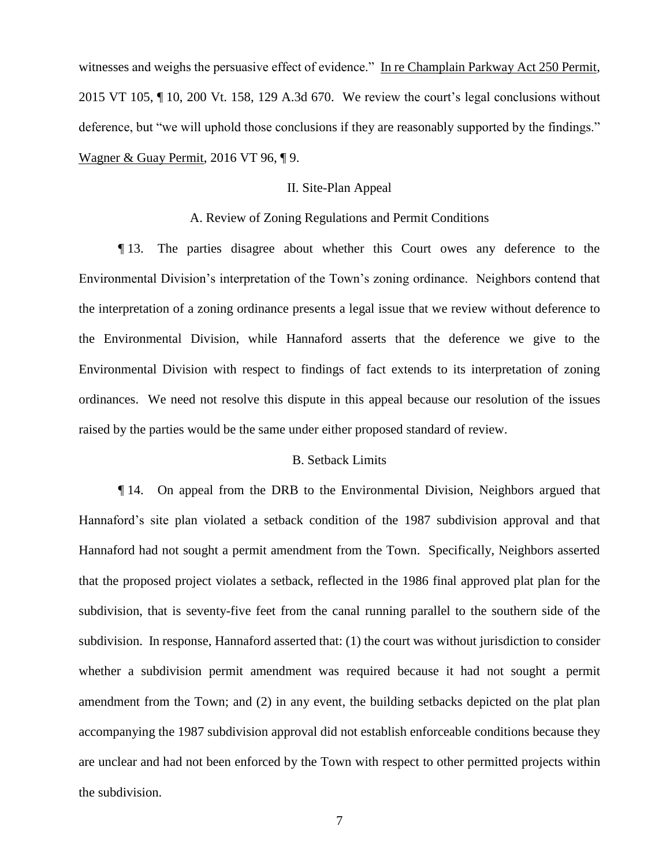witnesses and weighs the persuasive effect of evidence." In re Champlain Parkway Act 250 Permit, 2015 VT 105, ¶ 10, 200 Vt. 158, 129 A.3d 670. We review the court's legal conclusions without deference, but "we will uphold those conclusions if they are reasonably supported by the findings." Wagner & Guay Permit, 2016 VT 96, ¶ 9.

#### II. Site-Plan Appeal

A. Review of Zoning Regulations and Permit Conditions

¶ 13. The parties disagree about whether this Court owes any deference to the Environmental Division's interpretation of the Town's zoning ordinance. Neighbors contend that the interpretation of a zoning ordinance presents a legal issue that we review without deference to the Environmental Division, while Hannaford asserts that the deference we give to the Environmental Division with respect to findings of fact extends to its interpretation of zoning ordinances. We need not resolve this dispute in this appeal because our resolution of the issues raised by the parties would be the same under either proposed standard of review.

## B. Setback Limits

¶ 14. On appeal from the DRB to the Environmental Division, Neighbors argued that Hannaford's site plan violated a setback condition of the 1987 subdivision approval and that Hannaford had not sought a permit amendment from the Town. Specifically, Neighbors asserted that the proposed project violates a setback, reflected in the 1986 final approved plat plan for the subdivision, that is seventy-five feet from the canal running parallel to the southern side of the subdivision. In response, Hannaford asserted that: (1) the court was without jurisdiction to consider whether a subdivision permit amendment was required because it had not sought a permit amendment from the Town; and (2) in any event, the building setbacks depicted on the plat plan accompanying the 1987 subdivision approval did not establish enforceable conditions because they are unclear and had not been enforced by the Town with respect to other permitted projects within the subdivision.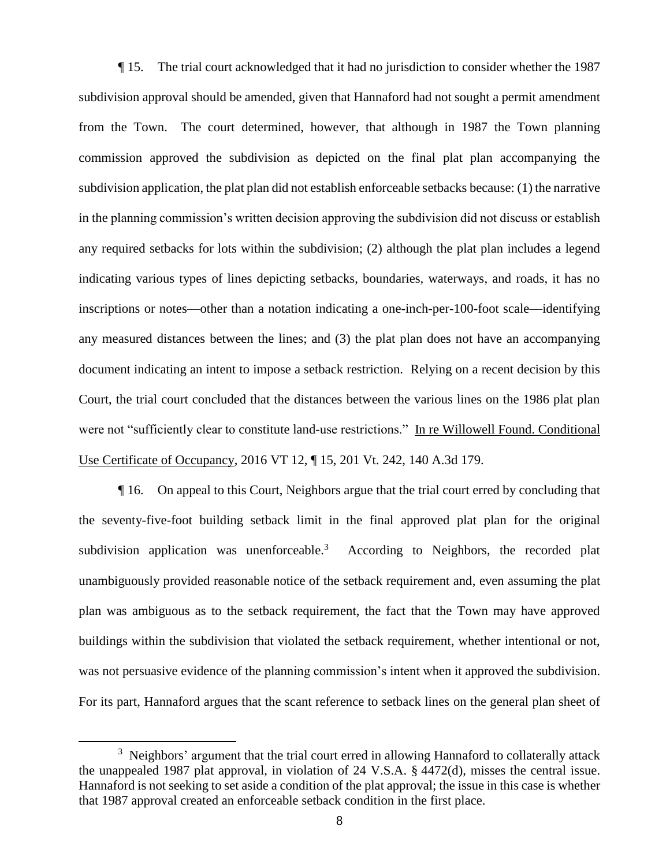¶ 15. The trial court acknowledged that it had no jurisdiction to consider whether the 1987 subdivision approval should be amended, given that Hannaford had not sought a permit amendment from the Town. The court determined, however, that although in 1987 the Town planning commission approved the subdivision as depicted on the final plat plan accompanying the subdivision application, the plat plan did not establish enforceable setbacks because: (1) the narrative in the planning commission's written decision approving the subdivision did not discuss or establish any required setbacks for lots within the subdivision; (2) although the plat plan includes a legend indicating various types of lines depicting setbacks, boundaries, waterways, and roads, it has no inscriptions or notes—other than a notation indicating a one-inch-per-100-foot scale—identifying any measured distances between the lines; and (3) the plat plan does not have an accompanying document indicating an intent to impose a setback restriction. Relying on a recent decision by this Court, the trial court concluded that the distances between the various lines on the 1986 plat plan were not "sufficiently clear to constitute land-use restrictions." In re Willowell Found. Conditional Use Certificate of Occupancy, 2016 VT 12, ¶ 15, 201 Vt. 242, 140 A.3d 179.

¶ 16. On appeal to this Court, Neighbors argue that the trial court erred by concluding that the seventy-five-foot building setback limit in the final approved plat plan for the original subdivision application was unenforceable.<sup>3</sup> According to Neighbors, the recorded plat unambiguously provided reasonable notice of the setback requirement and, even assuming the plat plan was ambiguous as to the setback requirement, the fact that the Town may have approved buildings within the subdivision that violated the setback requirement, whether intentional or not, was not persuasive evidence of the planning commission's intent when it approved the subdivision. For its part, Hannaford argues that the scant reference to setback lines on the general plan sheet of

 $3$  Neighbors' argument that the trial court erred in allowing Hannaford to collaterally attack the unappealed 1987 plat approval, in violation of 24 V.S.A. § 4472(d), misses the central issue. Hannaford is not seeking to set aside a condition of the plat approval; the issue in this case is whether that 1987 approval created an enforceable setback condition in the first place.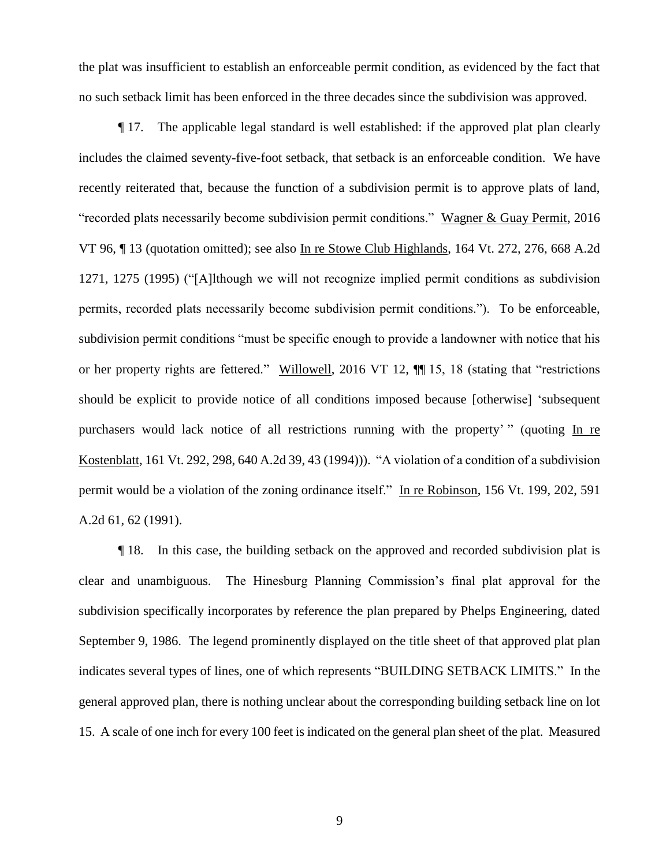the plat was insufficient to establish an enforceable permit condition, as evidenced by the fact that no such setback limit has been enforced in the three decades since the subdivision was approved.

¶ 17. The applicable legal standard is well established: if the approved plat plan clearly includes the claimed seventy-five-foot setback, that setback is an enforceable condition. We have recently reiterated that, because the function of a subdivision permit is to approve plats of land, "recorded plats necessarily become subdivision permit conditions." Wagner & Guay Permit, 2016 VT 96, ¶ 13 (quotation omitted); see also In re Stowe Club Highlands, 164 Vt. 272, 276, 668 A.2d 1271, 1275 (1995) ("[A]lthough we will not recognize implied permit conditions as subdivision permits, recorded plats necessarily become subdivision permit conditions."). To be enforceable, subdivision permit conditions "must be specific enough to provide a landowner with notice that his or her property rights are fettered." Willowell, 2016 VT 12, ¶¶ 15, 18 (stating that "restrictions should be explicit to provide notice of all conditions imposed because [otherwise] 'subsequent purchasers would lack notice of all restrictions running with the property' " (quoting In re Kostenblatt, 161 Vt. 292, 298, 640 A.2d 39, 43 (1994))). "A violation of a condition of a subdivision permit would be a violation of the zoning ordinance itself." In re Robinson, 156 Vt. 199, 202, 591 A.2d 61, 62 (1991).

¶ 18. In this case, the building setback on the approved and recorded subdivision plat is clear and unambiguous. The Hinesburg Planning Commission's final plat approval for the subdivision specifically incorporates by reference the plan prepared by Phelps Engineering, dated September 9, 1986. The legend prominently displayed on the title sheet of that approved plat plan indicates several types of lines, one of which represents "BUILDING SETBACK LIMITS." In the general approved plan, there is nothing unclear about the corresponding building setback line on lot 15. A scale of one inch for every 100 feet is indicated on the general plan sheet of the plat. Measured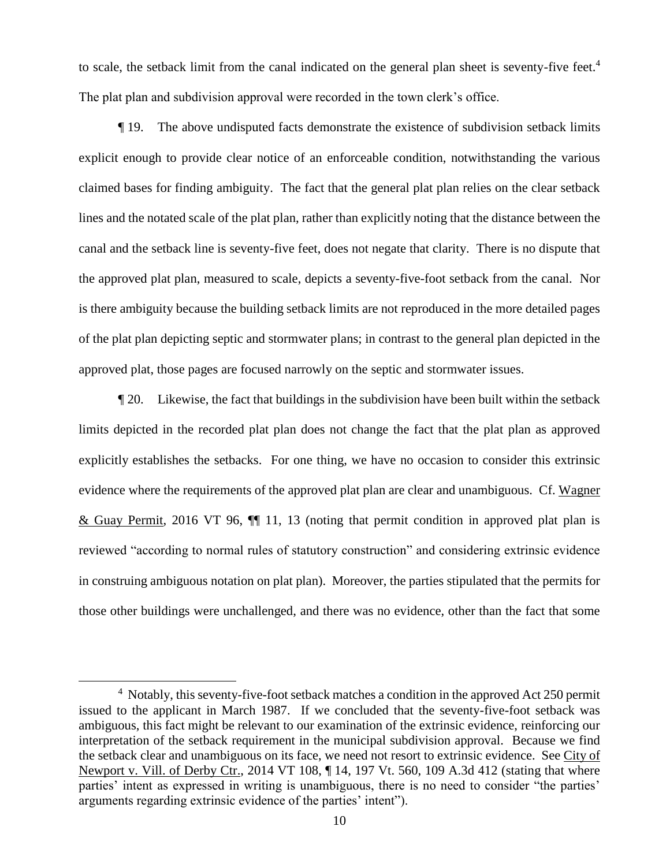to scale, the setback limit from the canal indicated on the general plan sheet is seventy-five feet.<sup>4</sup> The plat plan and subdivision approval were recorded in the town clerk's office.

¶ 19. The above undisputed facts demonstrate the existence of subdivision setback limits explicit enough to provide clear notice of an enforceable condition, notwithstanding the various claimed bases for finding ambiguity. The fact that the general plat plan relies on the clear setback lines and the notated scale of the plat plan, rather than explicitly noting that the distance between the canal and the setback line is seventy-five feet, does not negate that clarity. There is no dispute that the approved plat plan, measured to scale, depicts a seventy-five-foot setback from the canal. Nor is there ambiguity because the building setback limits are not reproduced in the more detailed pages of the plat plan depicting septic and stormwater plans; in contrast to the general plan depicted in the approved plat, those pages are focused narrowly on the septic and stormwater issues.

¶ 20. Likewise, the fact that buildings in the subdivision have been built within the setback limits depicted in the recorded plat plan does not change the fact that the plat plan as approved explicitly establishes the setbacks. For one thing, we have no occasion to consider this extrinsic evidence where the requirements of the approved plat plan are clear and unambiguous. Cf. Wagner & Guay Permit, 2016 VT 96, ¶¶ 11, 13 (noting that permit condition in approved plat plan is reviewed "according to normal rules of statutory construction" and considering extrinsic evidence in construing ambiguous notation on plat plan). Moreover, the parties stipulated that the permits for those other buildings were unchallenged, and there was no evidence, other than the fact that some

 $4$  Notably, this seventy-five-foot setback matches a condition in the approved Act 250 permit issued to the applicant in March 1987. If we concluded that the seventy-five-foot setback was ambiguous, this fact might be relevant to our examination of the extrinsic evidence, reinforcing our interpretation of the setback requirement in the municipal subdivision approval. Because we find the setback clear and unambiguous on its face, we need not resort to extrinsic evidence. See City of Newport v. Vill. of Derby Ctr., 2014 VT 108, ¶ 14, 197 Vt. 560, 109 A.3d 412 (stating that where parties' intent as expressed in writing is unambiguous, there is no need to consider "the parties' arguments regarding extrinsic evidence of the parties' intent").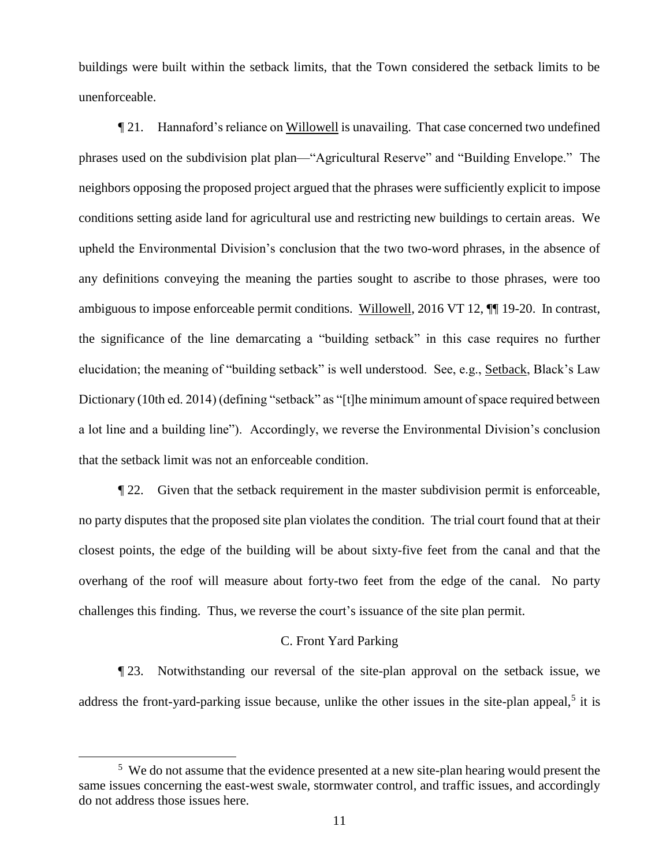buildings were built within the setback limits, that the Town considered the setback limits to be unenforceable.

¶ 21. Hannaford's reliance on Willowell is unavailing. That case concerned two undefined phrases used on the subdivision plat plan—"Agricultural Reserve" and "Building Envelope." The neighbors opposing the proposed project argued that the phrases were sufficiently explicit to impose conditions setting aside land for agricultural use and restricting new buildings to certain areas. We upheld the Environmental Division's conclusion that the two two-word phrases, in the absence of any definitions conveying the meaning the parties sought to ascribe to those phrases, were too ambiguous to impose enforceable permit conditions. Willowell, 2016 VT 12, ¶¶ 19-20. In contrast, the significance of the line demarcating a "building setback" in this case requires no further elucidation; the meaning of "building setback" is well understood. See, e.g., Setback, Black's Law Dictionary (10th ed. 2014) (defining "setback" as "[t]he minimum amount of space required between a lot line and a building line"). Accordingly, we reverse the Environmental Division's conclusion that the setback limit was not an enforceable condition.

¶ 22. Given that the setback requirement in the master subdivision permit is enforceable, no party disputes that the proposed site plan violates the condition. The trial court found that at their closest points, the edge of the building will be about sixty-five feet from the canal and that the overhang of the roof will measure about forty-two feet from the edge of the canal. No party challenges this finding. Thus, we reverse the court's issuance of the site plan permit.

# C. Front Yard Parking

¶ 23. Notwithstanding our reversal of the site-plan approval on the setback issue, we address the front-yard-parking issue because, unlike the other issues in the site-plan appeal,<sup>5</sup> it is

<sup>&</sup>lt;sup>5</sup> We do not assume that the evidence presented at a new site-plan hearing would present the same issues concerning the east-west swale, stormwater control, and traffic issues, and accordingly do not address those issues here.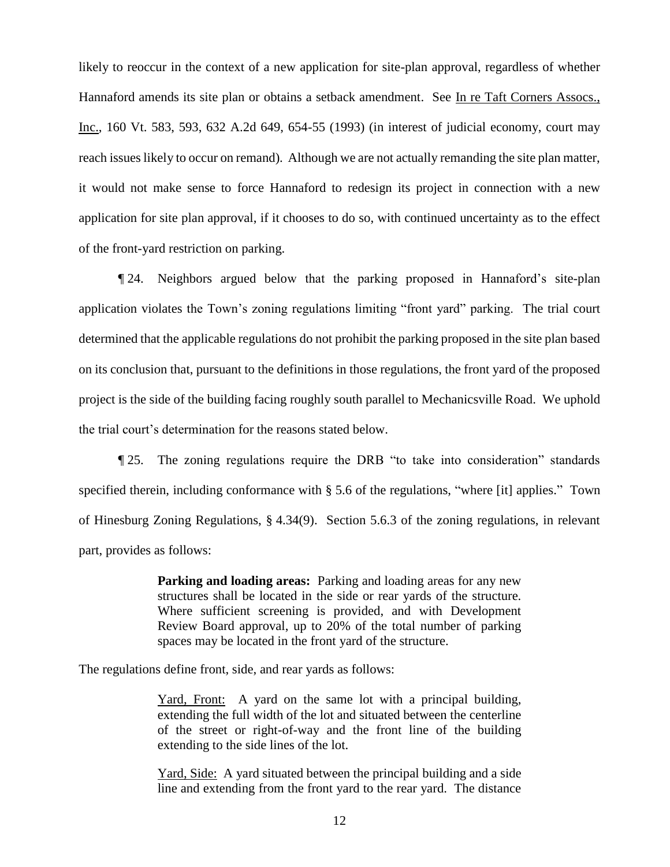likely to reoccur in the context of a new application for site-plan approval, regardless of whether Hannaford amends its site plan or obtains a setback amendment. See In re Taft Corners Assocs., Inc., 160 Vt. 583, 593, 632 A.2d 649, 654-55 (1993) (in interest of judicial economy, court may reach issues likely to occur on remand). Although we are not actually remanding the site plan matter, it would not make sense to force Hannaford to redesign its project in connection with a new application for site plan approval, if it chooses to do so, with continued uncertainty as to the effect of the front-yard restriction on parking.

¶ 24. Neighbors argued below that the parking proposed in Hannaford's site-plan application violates the Town's zoning regulations limiting "front yard" parking. The trial court determined that the applicable regulations do not prohibit the parking proposed in the site plan based on its conclusion that, pursuant to the definitions in those regulations, the front yard of the proposed project is the side of the building facing roughly south parallel to Mechanicsville Road. We uphold the trial court's determination for the reasons stated below.

¶ 25. The zoning regulations require the DRB "to take into consideration" standards specified therein, including conformance with § 5.6 of the regulations, "where [it] applies." Town of Hinesburg Zoning Regulations, § 4.34(9). Section 5.6.3 of the zoning regulations, in relevant part, provides as follows:

> **Parking and loading areas:** Parking and loading areas for any new structures shall be located in the side or rear yards of the structure. Where sufficient screening is provided, and with Development Review Board approval, up to 20% of the total number of parking spaces may be located in the front yard of the structure.

The regulations define front, side, and rear yards as follows:

Yard, Front: A yard on the same lot with a principal building, extending the full width of the lot and situated between the centerline of the street or right-of-way and the front line of the building extending to the side lines of the lot.

Yard, Side: A yard situated between the principal building and a side line and extending from the front yard to the rear yard. The distance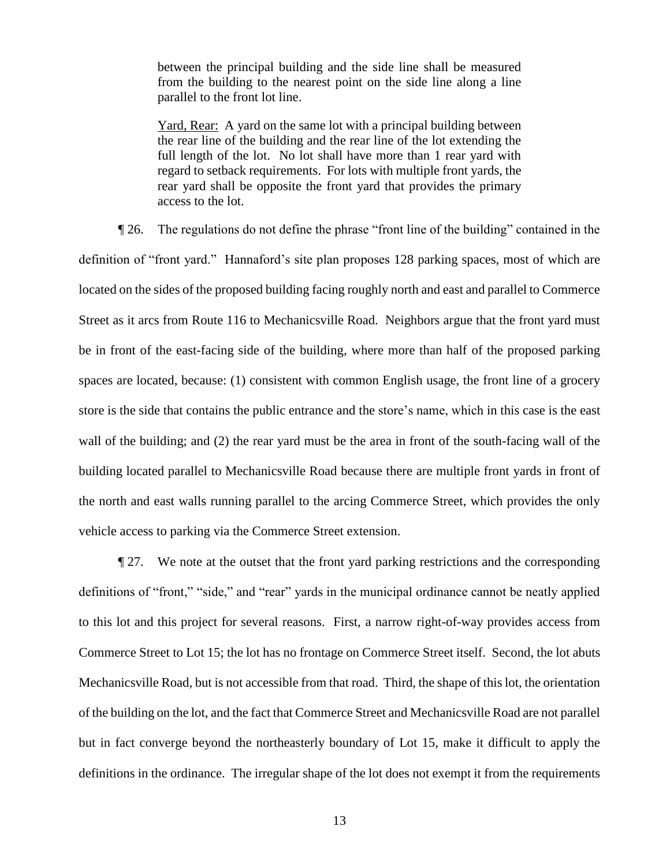between the principal building and the side line shall be measured from the building to the nearest point on the side line along a line parallel to the front lot line.

Yard, Rear: A yard on the same lot with a principal building between the rear line of the building and the rear line of the lot extending the full length of the lot. No lot shall have more than 1 rear yard with regard to setback requirements. For lots with multiple front yards, the rear yard shall be opposite the front yard that provides the primary access to the lot.

¶ 26. The regulations do not define the phrase "front line of the building" contained in the definition of "front yard." Hannaford's site plan proposes 128 parking spaces, most of which are located on the sides of the proposed building facing roughly north and east and parallel to Commerce Street as it arcs from Route 116 to Mechanicsville Road. Neighbors argue that the front yard must be in front of the east-facing side of the building, where more than half of the proposed parking spaces are located, because: (1) consistent with common English usage, the front line of a grocery store is the side that contains the public entrance and the store's name, which in this case is the east wall of the building; and (2) the rear yard must be the area in front of the south-facing wall of the building located parallel to Mechanicsville Road because there are multiple front yards in front of the north and east walls running parallel to the arcing Commerce Street, which provides the only vehicle access to parking via the Commerce Street extension.

¶ 27. We note at the outset that the front yard parking restrictions and the corresponding definitions of "front," "side," and "rear" yards in the municipal ordinance cannot be neatly applied to this lot and this project for several reasons. First, a narrow right-of-way provides access from Commerce Street to Lot 15; the lot has no frontage on Commerce Street itself. Second, the lot abuts Mechanicsville Road, but is not accessible from that road. Third, the shape of this lot, the orientation of the building on the lot, and the fact that Commerce Street and Mechanicsville Road are not parallel but in fact converge beyond the northeasterly boundary of Lot 15, make it difficult to apply the definitions in the ordinance. The irregular shape of the lot does not exempt it from the requirements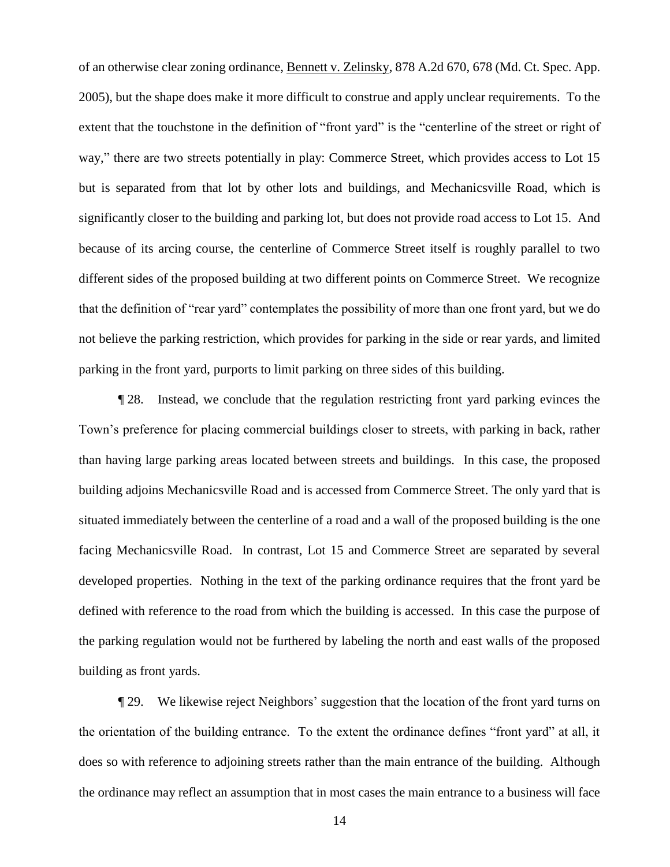of an otherwise clear zoning ordinance, Bennett v. Zelinsky, 878 A.2d 670, 678 (Md. Ct. Spec. App. 2005), but the shape does make it more difficult to construe and apply unclear requirements. To the extent that the touchstone in the definition of "front yard" is the "centerline of the street or right of way," there are two streets potentially in play: Commerce Street, which provides access to Lot 15 but is separated from that lot by other lots and buildings, and Mechanicsville Road, which is significantly closer to the building and parking lot, but does not provide road access to Lot 15. And because of its arcing course, the centerline of Commerce Street itself is roughly parallel to two different sides of the proposed building at two different points on Commerce Street. We recognize that the definition of "rear yard" contemplates the possibility of more than one front yard, but we do not believe the parking restriction, which provides for parking in the side or rear yards, and limited parking in the front yard, purports to limit parking on three sides of this building.

¶ 28. Instead, we conclude that the regulation restricting front yard parking evinces the Town's preference for placing commercial buildings closer to streets, with parking in back, rather than having large parking areas located between streets and buildings. In this case, the proposed building adjoins Mechanicsville Road and is accessed from Commerce Street. The only yard that is situated immediately between the centerline of a road and a wall of the proposed building is the one facing Mechanicsville Road. In contrast, Lot 15 and Commerce Street are separated by several developed properties. Nothing in the text of the parking ordinance requires that the front yard be defined with reference to the road from which the building is accessed. In this case the purpose of the parking regulation would not be furthered by labeling the north and east walls of the proposed building as front yards.

¶ 29. We likewise reject Neighbors' suggestion that the location of the front yard turns on the orientation of the building entrance. To the extent the ordinance defines "front yard" at all, it does so with reference to adjoining streets rather than the main entrance of the building. Although the ordinance may reflect an assumption that in most cases the main entrance to a business will face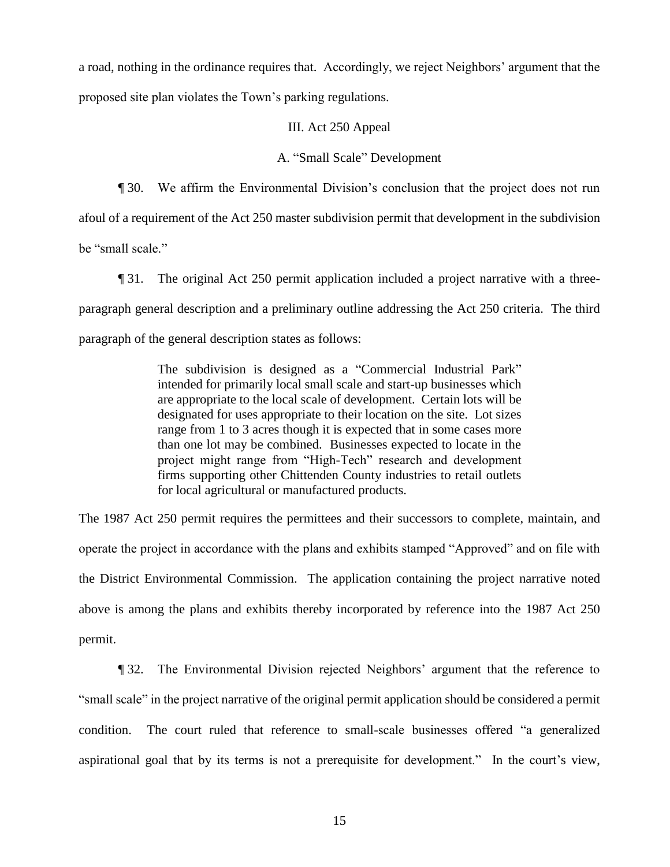a road, nothing in the ordinance requires that. Accordingly, we reject Neighbors' argument that the proposed site plan violates the Town's parking regulations.

## III. Act 250 Appeal

## A. "Small Scale" Development

¶ 30. We affirm the Environmental Division's conclusion that the project does not run afoul of a requirement of the Act 250 master subdivision permit that development in the subdivision be "small scale."

¶ 31. The original Act 250 permit application included a project narrative with a threeparagraph general description and a preliminary outline addressing the Act 250 criteria. The third paragraph of the general description states as follows:

> The subdivision is designed as a "Commercial Industrial Park" intended for primarily local small scale and start-up businesses which are appropriate to the local scale of development. Certain lots will be designated for uses appropriate to their location on the site. Lot sizes range from 1 to 3 acres though it is expected that in some cases more than one lot may be combined. Businesses expected to locate in the project might range from "High-Tech" research and development firms supporting other Chittenden County industries to retail outlets for local agricultural or manufactured products.

The 1987 Act 250 permit requires the permittees and their successors to complete, maintain, and operate the project in accordance with the plans and exhibits stamped "Approved" and on file with the District Environmental Commission. The application containing the project narrative noted above is among the plans and exhibits thereby incorporated by reference into the 1987 Act 250 permit.

¶ 32. The Environmental Division rejected Neighbors' argument that the reference to "small scale" in the project narrative of the original permit application should be considered a permit condition. The court ruled that reference to small-scale businesses offered "a generalized aspirational goal that by its terms is not a prerequisite for development." In the court's view,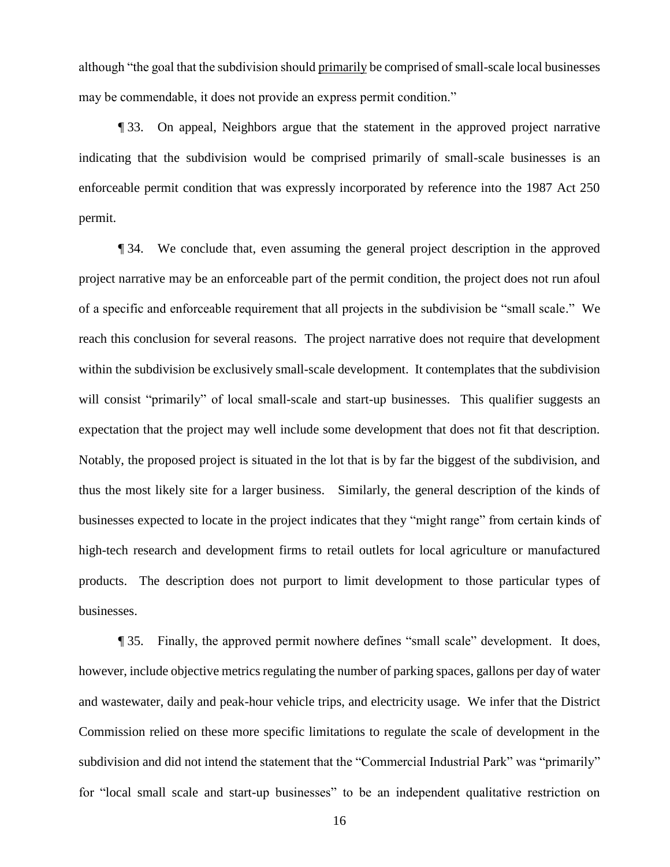although "the goal that the subdivision should primarily be comprised of small-scale local businesses may be commendable, it does not provide an express permit condition."

¶ 33. On appeal, Neighbors argue that the statement in the approved project narrative indicating that the subdivision would be comprised primarily of small-scale businesses is an enforceable permit condition that was expressly incorporated by reference into the 1987 Act 250 permit.

¶ 34. We conclude that, even assuming the general project description in the approved project narrative may be an enforceable part of the permit condition, the project does not run afoul of a specific and enforceable requirement that all projects in the subdivision be "small scale." We reach this conclusion for several reasons. The project narrative does not require that development within the subdivision be exclusively small-scale development. It contemplates that the subdivision will consist "primarily" of local small-scale and start-up businesses. This qualifier suggests an expectation that the project may well include some development that does not fit that description. Notably, the proposed project is situated in the lot that is by far the biggest of the subdivision, and thus the most likely site for a larger business. Similarly, the general description of the kinds of businesses expected to locate in the project indicates that they "might range" from certain kinds of high-tech research and development firms to retail outlets for local agriculture or manufactured products. The description does not purport to limit development to those particular types of businesses.

¶ 35. Finally, the approved permit nowhere defines "small scale" development. It does, however, include objective metrics regulating the number of parking spaces, gallons per day of water and wastewater, daily and peak-hour vehicle trips, and electricity usage. We infer that the District Commission relied on these more specific limitations to regulate the scale of development in the subdivision and did not intend the statement that the "Commercial Industrial Park" was "primarily" for "local small scale and start-up businesses" to be an independent qualitative restriction on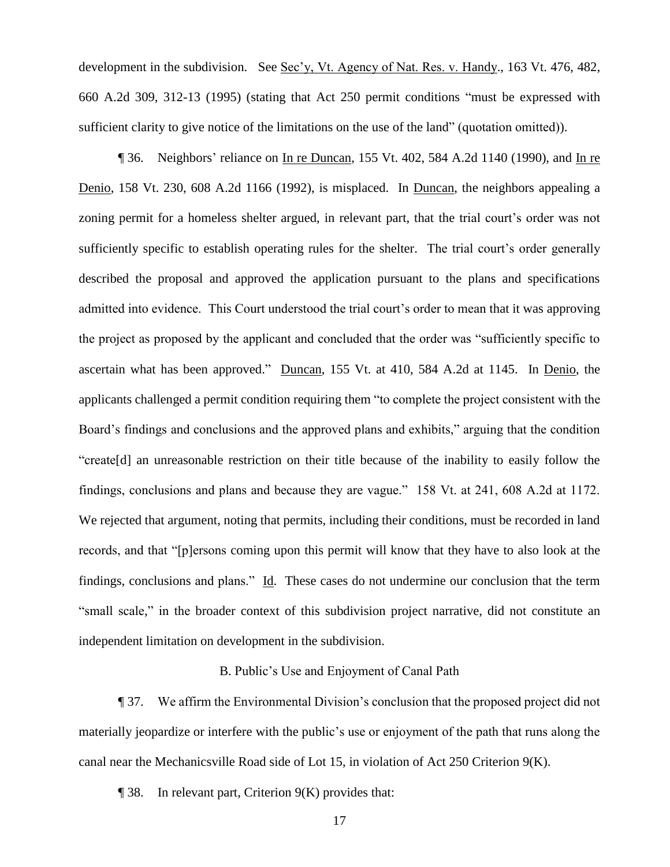development in the subdivision. See Sec'y, Vt. Agency of Nat. Res. v. Handy., 163 Vt. 476, 482, 660 A.2d 309, 312-13 (1995) (stating that Act 250 permit conditions "must be expressed with sufficient clarity to give notice of the limitations on the use of the land" (quotation omitted)).

¶ 36. Neighbors' reliance on In re Duncan, 155 Vt. 402, 584 A.2d 1140 (1990), and In re Denio, 158 Vt. 230, 608 A.2d 1166 (1992), is misplaced. In Duncan, the neighbors appealing a zoning permit for a homeless shelter argued, in relevant part, that the trial court's order was not sufficiently specific to establish operating rules for the shelter. The trial court's order generally described the proposal and approved the application pursuant to the plans and specifications admitted into evidence. This Court understood the trial court's order to mean that it was approving the project as proposed by the applicant and concluded that the order was "sufficiently specific to ascertain what has been approved." Duncan, 155 Vt. at 410, 584 A.2d at 1145. In Denio, the applicants challenged a permit condition requiring them "to complete the project consistent with the Board's findings and conclusions and the approved plans and exhibits," arguing that the condition "create[d] an unreasonable restriction on their title because of the inability to easily follow the findings, conclusions and plans and because they are vague." 158 Vt. at 241, 608 A.2d at 1172. We rejected that argument, noting that permits, including their conditions, must be recorded in land records, and that "[p]ersons coming upon this permit will know that they have to also look at the findings, conclusions and plans." Id. These cases do not undermine our conclusion that the term "small scale," in the broader context of this subdivision project narrative, did not constitute an independent limitation on development in the subdivision.

#### B. Public's Use and Enjoyment of Canal Path

¶ 37. We affirm the Environmental Division's conclusion that the proposed project did not materially jeopardize or interfere with the public's use or enjoyment of the path that runs along the canal near the Mechanicsville Road side of Lot 15, in violation of Act 250 Criterion 9(K).

 $\P$  38. In relevant part, Criterion  $9(K)$  provides that: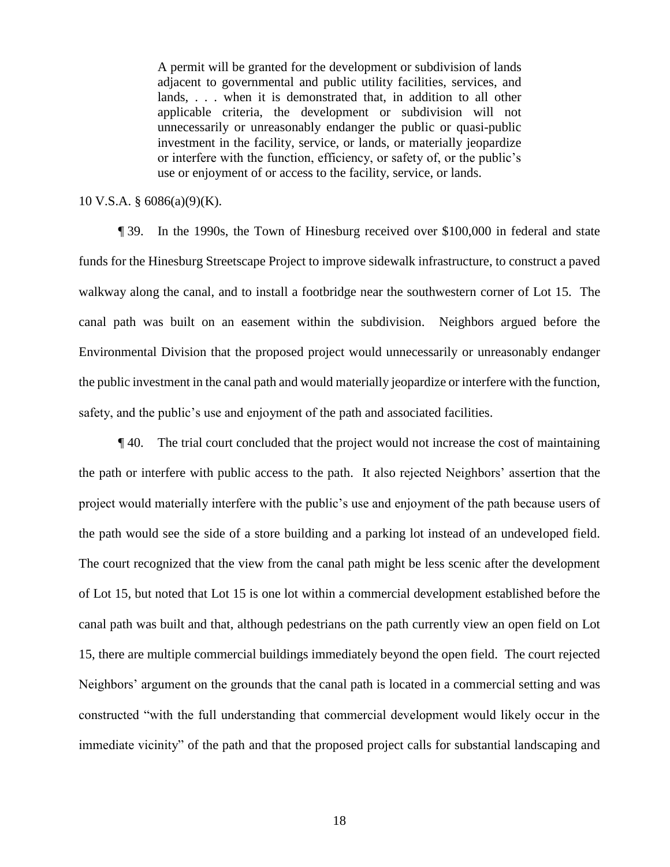A permit will be granted for the development or subdivision of lands adjacent to governmental and public utility facilities, services, and lands, . . . when it is demonstrated that, in addition to all other applicable criteria, the development or subdivision will not unnecessarily or unreasonably endanger the public or quasi-public investment in the facility, service, or lands, or materially jeopardize or interfere with the function, efficiency, or safety of, or the public's use or enjoyment of or access to the facility, service, or lands.

## 10 V.S.A. § 6086(a)(9)(K).

¶ 39. In the 1990s, the Town of Hinesburg received over \$100,000 in federal and state funds for the Hinesburg Streetscape Project to improve sidewalk infrastructure, to construct a paved walkway along the canal, and to install a footbridge near the southwestern corner of Lot 15. The canal path was built on an easement within the subdivision. Neighbors argued before the Environmental Division that the proposed project would unnecessarily or unreasonably endanger the public investment in the canal path and would materially jeopardize or interfere with the function, safety, and the public's use and enjoyment of the path and associated facilities.

¶ 40. The trial court concluded that the project would not increase the cost of maintaining the path or interfere with public access to the path. It also rejected Neighbors' assertion that the project would materially interfere with the public's use and enjoyment of the path because users of the path would see the side of a store building and a parking lot instead of an undeveloped field. The court recognized that the view from the canal path might be less scenic after the development of Lot 15, but noted that Lot 15 is one lot within a commercial development established before the canal path was built and that, although pedestrians on the path currently view an open field on Lot 15, there are multiple commercial buildings immediately beyond the open field. The court rejected Neighbors' argument on the grounds that the canal path is located in a commercial setting and was constructed "with the full understanding that commercial development would likely occur in the immediate vicinity" of the path and that the proposed project calls for substantial landscaping and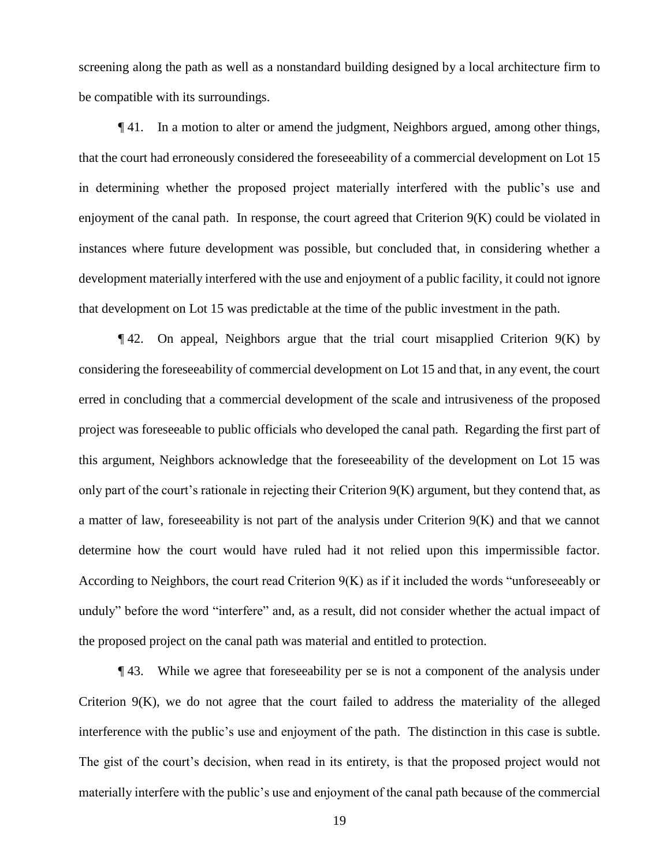screening along the path as well as a nonstandard building designed by a local architecture firm to be compatible with its surroundings.

¶ 41. In a motion to alter or amend the judgment, Neighbors argued, among other things, that the court had erroneously considered the foreseeability of a commercial development on Lot 15 in determining whether the proposed project materially interfered with the public's use and enjoyment of the canal path. In response, the court agreed that Criterion 9(K) could be violated in instances where future development was possible, but concluded that, in considering whether a development materially interfered with the use and enjoyment of a public facility, it could not ignore that development on Lot 15 was predictable at the time of the public investment in the path.

 $\P$ 42. On appeal, Neighbors argue that the trial court misapplied Criterion  $9(K)$  by considering the foreseeability of commercial development on Lot 15 and that, in any event, the court erred in concluding that a commercial development of the scale and intrusiveness of the proposed project was foreseeable to public officials who developed the canal path. Regarding the first part of this argument, Neighbors acknowledge that the foreseeability of the development on Lot 15 was only part of the court's rationale in rejecting their Criterion 9(K) argument, but they contend that, as a matter of law, foreseeability is not part of the analysis under Criterion  $9(K)$  and that we cannot determine how the court would have ruled had it not relied upon this impermissible factor. According to Neighbors, the court read Criterion 9(K) as if it included the words "unforeseeably or unduly" before the word "interfere" and, as a result, did not consider whether the actual impact of the proposed project on the canal path was material and entitled to protection.

¶ 43. While we agree that foreseeability per se is not a component of the analysis under Criterion 9(K), we do not agree that the court failed to address the materiality of the alleged interference with the public's use and enjoyment of the path. The distinction in this case is subtle. The gist of the court's decision, when read in its entirety, is that the proposed project would not materially interfere with the public's use and enjoyment of the canal path because of the commercial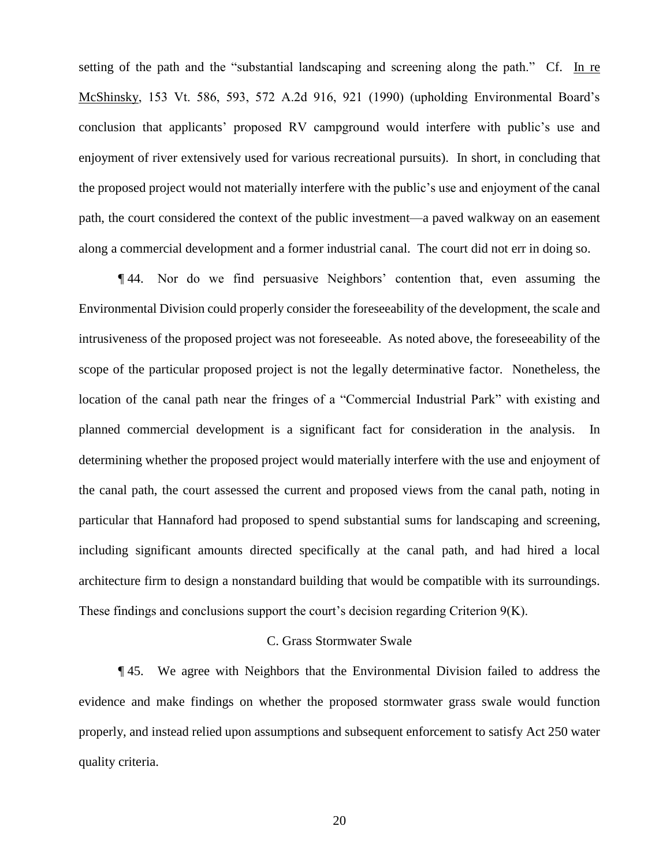setting of the path and the "substantial landscaping and screening along the path." Cf. In re McShinsky, 153 Vt. 586, 593, 572 A.2d 916, 921 (1990) (upholding Environmental Board's conclusion that applicants' proposed RV campground would interfere with public's use and enjoyment of river extensively used for various recreational pursuits). In short, in concluding that the proposed project would not materially interfere with the public's use and enjoyment of the canal path, the court considered the context of the public investment—a paved walkway on an easement along a commercial development and a former industrial canal. The court did not err in doing so.

¶ 44. Nor do we find persuasive Neighbors' contention that, even assuming the Environmental Division could properly consider the foreseeability of the development, the scale and intrusiveness of the proposed project was not foreseeable. As noted above, the foreseeability of the scope of the particular proposed project is not the legally determinative factor. Nonetheless, the location of the canal path near the fringes of a "Commercial Industrial Park" with existing and planned commercial development is a significant fact for consideration in the analysis. In determining whether the proposed project would materially interfere with the use and enjoyment of the canal path, the court assessed the current and proposed views from the canal path, noting in particular that Hannaford had proposed to spend substantial sums for landscaping and screening, including significant amounts directed specifically at the canal path, and had hired a local architecture firm to design a nonstandard building that would be compatible with its surroundings. These findings and conclusions support the court's decision regarding Criterion 9(K).

#### C. Grass Stormwater Swale

¶ 45. We agree with Neighbors that the Environmental Division failed to address the evidence and make findings on whether the proposed stormwater grass swale would function properly, and instead relied upon assumptions and subsequent enforcement to satisfy Act 250 water quality criteria.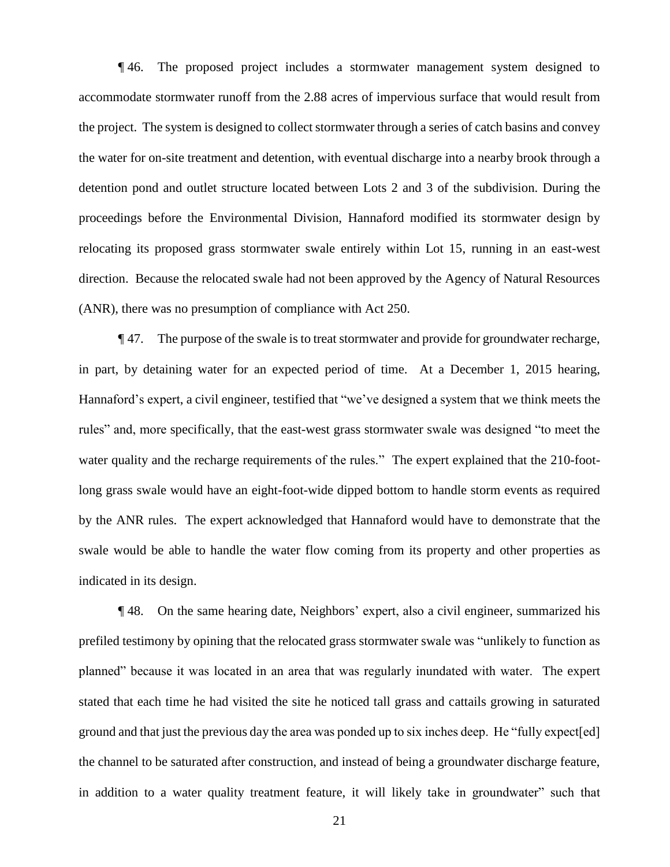¶ 46. The proposed project includes a stormwater management system designed to accommodate stormwater runoff from the 2.88 acres of impervious surface that would result from the project. The system is designed to collect stormwater through a series of catch basins and convey the water for on-site treatment and detention, with eventual discharge into a nearby brook through a detention pond and outlet structure located between Lots 2 and 3 of the subdivision. During the proceedings before the Environmental Division, Hannaford modified its stormwater design by relocating its proposed grass stormwater swale entirely within Lot 15, running in an east-west direction. Because the relocated swale had not been approved by the Agency of Natural Resources (ANR), there was no presumption of compliance with Act 250.

¶ 47. The purpose of the swale is to treat stormwater and provide for groundwater recharge, in part, by detaining water for an expected period of time. At a December 1, 2015 hearing, Hannaford's expert, a civil engineer, testified that "we've designed a system that we think meets the rules" and, more specifically, that the east-west grass stormwater swale was designed "to meet the water quality and the recharge requirements of the rules." The expert explained that the 210-footlong grass swale would have an eight-foot-wide dipped bottom to handle storm events as required by the ANR rules. The expert acknowledged that Hannaford would have to demonstrate that the swale would be able to handle the water flow coming from its property and other properties as indicated in its design.

¶ 48. On the same hearing date, Neighbors' expert, also a civil engineer, summarized his prefiled testimony by opining that the relocated grass stormwater swale was "unlikely to function as planned" because it was located in an area that was regularly inundated with water. The expert stated that each time he had visited the site he noticed tall grass and cattails growing in saturated ground and that just the previous day the area was ponded up to six inches deep. He "fully expect[ed] the channel to be saturated after construction, and instead of being a groundwater discharge feature, in addition to a water quality treatment feature, it will likely take in groundwater" such that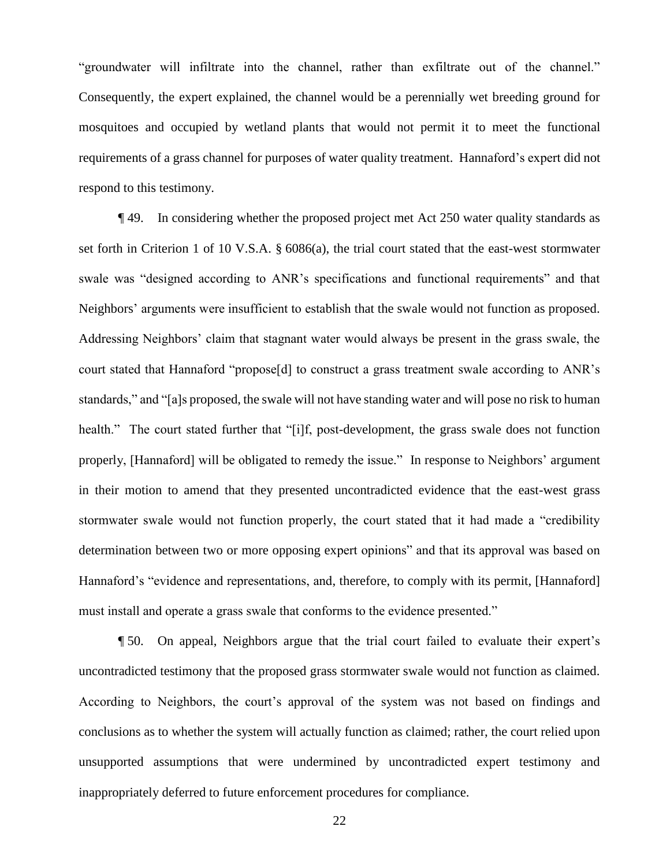"groundwater will infiltrate into the channel, rather than exfiltrate out of the channel." Consequently, the expert explained, the channel would be a perennially wet breeding ground for mosquitoes and occupied by wetland plants that would not permit it to meet the functional requirements of a grass channel for purposes of water quality treatment. Hannaford's expert did not respond to this testimony.

¶ 49. In considering whether the proposed project met Act 250 water quality standards as set forth in Criterion 1 of 10 V.S.A. § 6086(a), the trial court stated that the east-west stormwater swale was "designed according to ANR's specifications and functional requirements" and that Neighbors' arguments were insufficient to establish that the swale would not function as proposed. Addressing Neighbors' claim that stagnant water would always be present in the grass swale, the court stated that Hannaford "propose[d] to construct a grass treatment swale according to ANR's standards," and "[a]s proposed, the swale will not have standing water and will pose no risk to human health." The court stated further that "[i]f, post-development, the grass swale does not function properly, [Hannaford] will be obligated to remedy the issue." In response to Neighbors' argument in their motion to amend that they presented uncontradicted evidence that the east-west grass stormwater swale would not function properly, the court stated that it had made a "credibility determination between two or more opposing expert opinions" and that its approval was based on Hannaford's "evidence and representations, and, therefore, to comply with its permit, [Hannaford] must install and operate a grass swale that conforms to the evidence presented."

¶ 50. On appeal, Neighbors argue that the trial court failed to evaluate their expert's uncontradicted testimony that the proposed grass stormwater swale would not function as claimed. According to Neighbors, the court's approval of the system was not based on findings and conclusions as to whether the system will actually function as claimed; rather, the court relied upon unsupported assumptions that were undermined by uncontradicted expert testimony and inappropriately deferred to future enforcement procedures for compliance.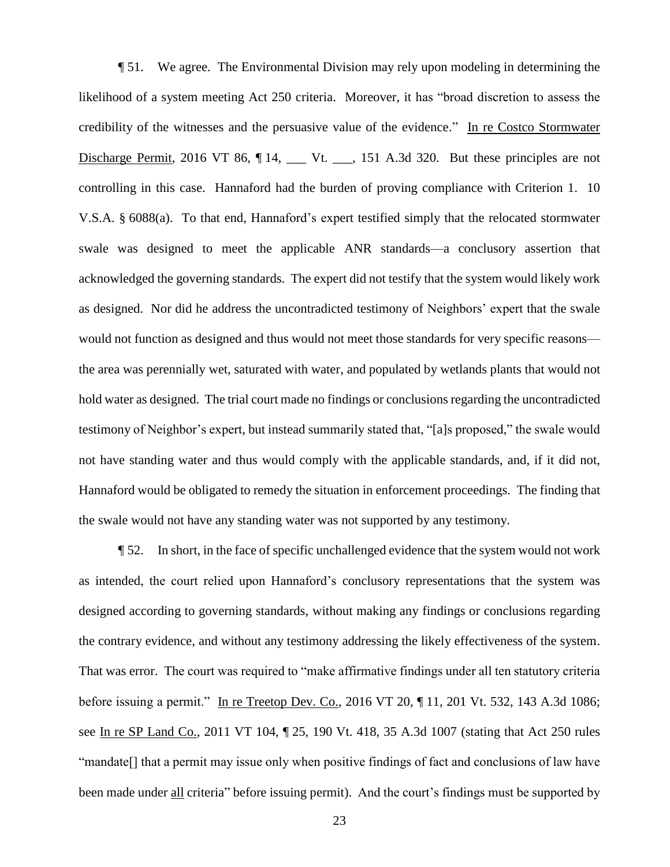¶ 51. We agree. The Environmental Division may rely upon modeling in determining the likelihood of a system meeting Act 250 criteria. Moreover, it has "broad discretion to assess the credibility of the witnesses and the persuasive value of the evidence." In re Costco Stormwater Discharge Permit, 2016 VT 86,  $\P$  14,  $\P$  Vt.  $\P$ , 151 A.3d 320. But these principles are not controlling in this case. Hannaford had the burden of proving compliance with Criterion 1. 10 V.S.A. § 6088(a). To that end, Hannaford's expert testified simply that the relocated stormwater swale was designed to meet the applicable ANR standards—a conclusory assertion that acknowledged the governing standards. The expert did not testify that the system would likely work as designed. Nor did he address the uncontradicted testimony of Neighbors' expert that the swale would not function as designed and thus would not meet those standards for very specific reasons the area was perennially wet, saturated with water, and populated by wetlands plants that would not hold water as designed. The trial court made no findings or conclusions regarding the uncontradicted testimony of Neighbor's expert, but instead summarily stated that, "[a]s proposed," the swale would not have standing water and thus would comply with the applicable standards, and, if it did not, Hannaford would be obligated to remedy the situation in enforcement proceedings. The finding that the swale would not have any standing water was not supported by any testimony.

¶ 52. In short, in the face of specific unchallenged evidence that the system would not work as intended, the court relied upon Hannaford's conclusory representations that the system was designed according to governing standards, without making any findings or conclusions regarding the contrary evidence, and without any testimony addressing the likely effectiveness of the system. That was error. The court was required to "make affirmative findings under all ten statutory criteria before issuing a permit." In re Treetop Dev. Co., 2016 VT 20, ¶ 11, 201 Vt. 532, 143 A.3d 1086; see In re SP Land Co., 2011 VT 104, ¶ 25, 190 Vt. 418, 35 A.3d 1007 (stating that Act 250 rules "mandate[] that a permit may issue only when positive findings of fact and conclusions of law have been made under all criteria" before issuing permit). And the court's findings must be supported by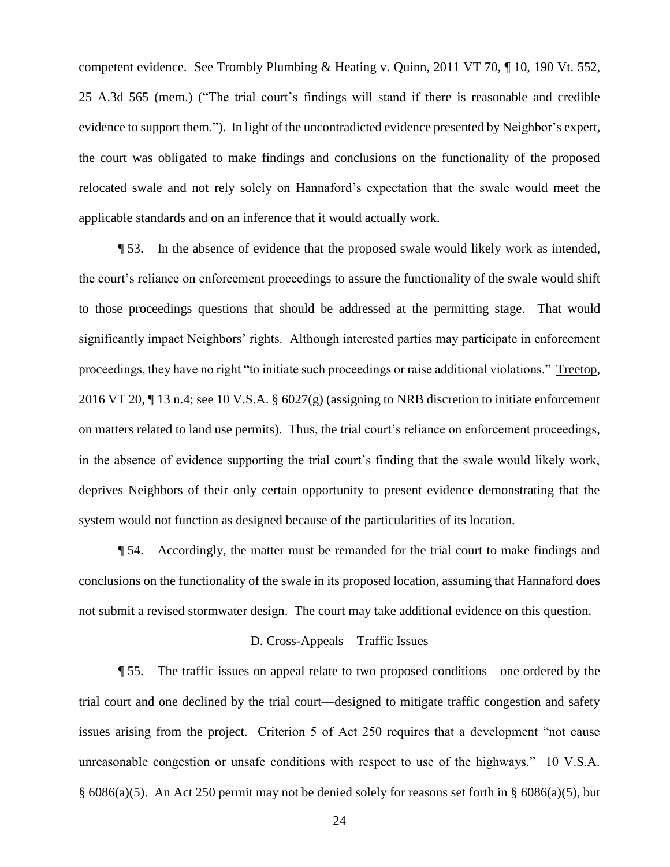competent evidence. See Trombly Plumbing & Heating v. Quinn, 2011 VT 70, ¶ 10, 190 Vt. 552, 25 A.3d 565 (mem.) ("The trial court's findings will stand if there is reasonable and credible evidence to support them."). In light of the uncontradicted evidence presented by Neighbor's expert, the court was obligated to make findings and conclusions on the functionality of the proposed relocated swale and not rely solely on Hannaford's expectation that the swale would meet the applicable standards and on an inference that it would actually work.

¶ 53. In the absence of evidence that the proposed swale would likely work as intended, the court's reliance on enforcement proceedings to assure the functionality of the swale would shift to those proceedings questions that should be addressed at the permitting stage. That would significantly impact Neighbors' rights. Although interested parties may participate in enforcement proceedings, they have no right "to initiate such proceedings or raise additional violations." Treetop, 2016 VT 20, ¶ 13 n.4; see 10 V.S.A. § 6027(g) (assigning to NRB discretion to initiate enforcement on matters related to land use permits). Thus, the trial court's reliance on enforcement proceedings, in the absence of evidence supporting the trial court's finding that the swale would likely work, deprives Neighbors of their only certain opportunity to present evidence demonstrating that the system would not function as designed because of the particularities of its location.

¶ 54. Accordingly, the matter must be remanded for the trial court to make findings and conclusions on the functionality of the swale in its proposed location, assuming that Hannaford does not submit a revised stormwater design. The court may take additional evidence on this question.

#### D. Cross-Appeals—Traffic Issues

¶ 55. The traffic issues on appeal relate to two proposed conditions—one ordered by the trial court and one declined by the trial court—designed to mitigate traffic congestion and safety issues arising from the project. Criterion 5 of Act 250 requires that a development "not cause unreasonable congestion or unsafe conditions with respect to use of the highways." 10 V.S.A. § 6086(a)(5). An Act 250 permit may not be denied solely for reasons set forth in § 6086(a)(5), but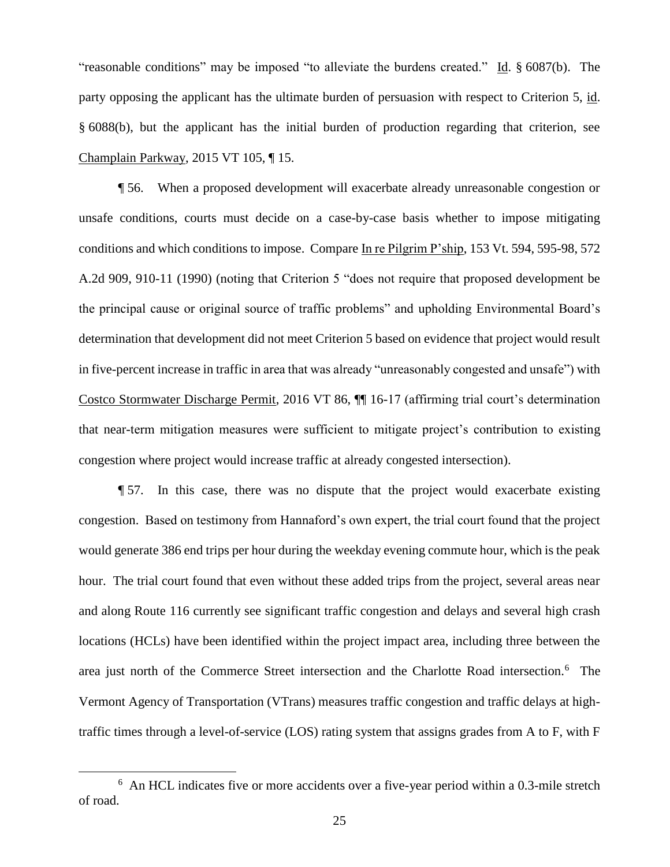"reasonable conditions" may be imposed "to alleviate the burdens created." Id. § 6087(b). The party opposing the applicant has the ultimate burden of persuasion with respect to Criterion 5, id. § 6088(b), but the applicant has the initial burden of production regarding that criterion, see Champlain Parkway, 2015 VT 105, ¶ 15.

¶ 56. When a proposed development will exacerbate already unreasonable congestion or unsafe conditions, courts must decide on a case-by-case basis whether to impose mitigating conditions and which conditions to impose. Compare In re Pilgrim P'ship, 153 Vt. 594, 595-98, 572 A.2d 909, 910-11 (1990) (noting that Criterion 5 "does not require that proposed development be the principal cause or original source of traffic problems" and upholding Environmental Board's determination that development did not meet Criterion 5 based on evidence that project would result in five-percent increase in traffic in area that was already "unreasonably congested and unsafe") with Costco Stormwater Discharge Permit, 2016 VT 86, ¶¶ 16-17 (affirming trial court's determination that near-term mitigation measures were sufficient to mitigate project's contribution to existing congestion where project would increase traffic at already congested intersection).

¶ 57. In this case, there was no dispute that the project would exacerbate existing congestion. Based on testimony from Hannaford's own expert, the trial court found that the project would generate 386 end trips per hour during the weekday evening commute hour, which is the peak hour. The trial court found that even without these added trips from the project, several areas near and along Route 116 currently see significant traffic congestion and delays and several high crash locations (HCLs) have been identified within the project impact area, including three between the area just north of the Commerce Street intersection and the Charlotte Road intersection.<sup>6</sup> The Vermont Agency of Transportation (VTrans) measures traffic congestion and traffic delays at hightraffic times through a level-of-service (LOS) rating system that assigns grades from A to F, with F

<sup>&</sup>lt;sup>6</sup> An HCL indicates five or more accidents over a five-year period within a 0.3-mile stretch of road.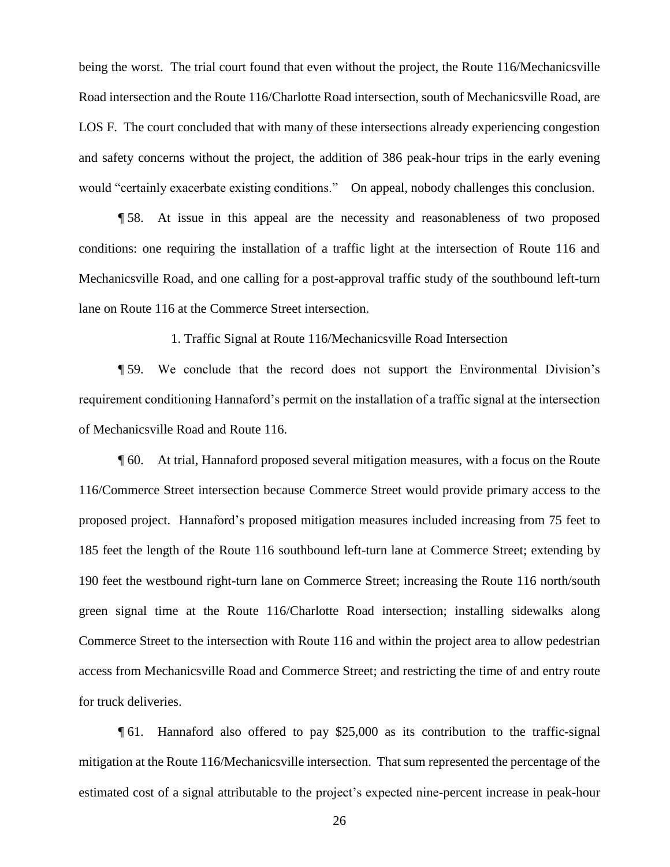being the worst. The trial court found that even without the project, the Route 116/Mechanicsville Road intersection and the Route 116/Charlotte Road intersection, south of Mechanicsville Road, are LOS F. The court concluded that with many of these intersections already experiencing congestion and safety concerns without the project, the addition of 386 peak-hour trips in the early evening would "certainly exacerbate existing conditions." On appeal, nobody challenges this conclusion.

¶ 58. At issue in this appeal are the necessity and reasonableness of two proposed conditions: one requiring the installation of a traffic light at the intersection of Route 116 and Mechanicsville Road, and one calling for a post-approval traffic study of the southbound left-turn lane on Route 116 at the Commerce Street intersection.

1. Traffic Signal at Route 116/Mechanicsville Road Intersection

¶ 59. We conclude that the record does not support the Environmental Division's requirement conditioning Hannaford's permit on the installation of a traffic signal at the intersection of Mechanicsville Road and Route 116.

¶ 60. At trial, Hannaford proposed several mitigation measures, with a focus on the Route 116/Commerce Street intersection because Commerce Street would provide primary access to the proposed project. Hannaford's proposed mitigation measures included increasing from 75 feet to 185 feet the length of the Route 116 southbound left-turn lane at Commerce Street; extending by 190 feet the westbound right-turn lane on Commerce Street; increasing the Route 116 north/south green signal time at the Route 116/Charlotte Road intersection; installing sidewalks along Commerce Street to the intersection with Route 116 and within the project area to allow pedestrian access from Mechanicsville Road and Commerce Street; and restricting the time of and entry route for truck deliveries.

¶ 61. Hannaford also offered to pay \$25,000 as its contribution to the traffic-signal mitigation at the Route 116/Mechanicsville intersection. That sum represented the percentage of the estimated cost of a signal attributable to the project's expected nine-percent increase in peak-hour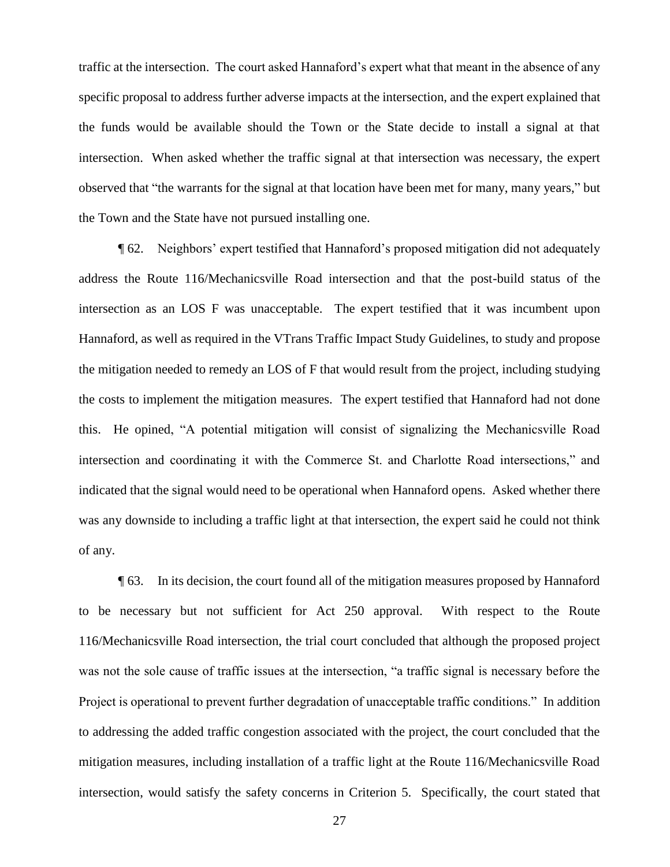traffic at the intersection. The court asked Hannaford's expert what that meant in the absence of any specific proposal to address further adverse impacts at the intersection, and the expert explained that the funds would be available should the Town or the State decide to install a signal at that intersection. When asked whether the traffic signal at that intersection was necessary, the expert observed that "the warrants for the signal at that location have been met for many, many years," but the Town and the State have not pursued installing one.

¶ 62. Neighbors' expert testified that Hannaford's proposed mitigation did not adequately address the Route 116/Mechanicsville Road intersection and that the post-build status of the intersection as an LOS F was unacceptable. The expert testified that it was incumbent upon Hannaford, as well as required in the VTrans Traffic Impact Study Guidelines, to study and propose the mitigation needed to remedy an LOS of F that would result from the project, including studying the costs to implement the mitigation measures. The expert testified that Hannaford had not done this. He opined, "A potential mitigation will consist of signalizing the Mechanicsville Road intersection and coordinating it with the Commerce St. and Charlotte Road intersections," and indicated that the signal would need to be operational when Hannaford opens. Asked whether there was any downside to including a traffic light at that intersection, the expert said he could not think of any.

¶ 63. In its decision, the court found all of the mitigation measures proposed by Hannaford to be necessary but not sufficient for Act 250 approval. With respect to the Route 116/Mechanicsville Road intersection, the trial court concluded that although the proposed project was not the sole cause of traffic issues at the intersection, "a traffic signal is necessary before the Project is operational to prevent further degradation of unacceptable traffic conditions." In addition to addressing the added traffic congestion associated with the project, the court concluded that the mitigation measures, including installation of a traffic light at the Route 116/Mechanicsville Road intersection, would satisfy the safety concerns in Criterion 5. Specifically, the court stated that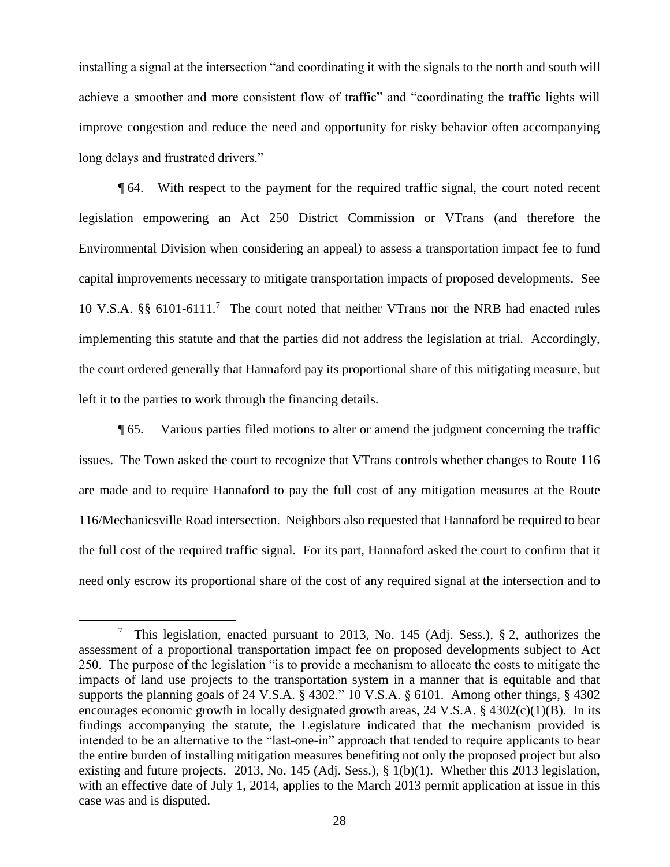installing a signal at the intersection "and coordinating it with the signals to the north and south will achieve a smoother and more consistent flow of traffic" and "coordinating the traffic lights will improve congestion and reduce the need and opportunity for risky behavior often accompanying long delays and frustrated drivers."

¶ 64. With respect to the payment for the required traffic signal, the court noted recent legislation empowering an Act 250 District Commission or VTrans (and therefore the Environmental Division when considering an appeal) to assess a transportation impact fee to fund capital improvements necessary to mitigate transportation impacts of proposed developments. See 10 V.S.A. §§ 6101-6111.<sup>7</sup> The court noted that neither VTrans nor the NRB had enacted rules implementing this statute and that the parties did not address the legislation at trial. Accordingly, the court ordered generally that Hannaford pay its proportional share of this mitigating measure, but left it to the parties to work through the financing details.

¶ 65. Various parties filed motions to alter or amend the judgment concerning the traffic issues. The Town asked the court to recognize that VTrans controls whether changes to Route 116 are made and to require Hannaford to pay the full cost of any mitigation measures at the Route 116/Mechanicsville Road intersection. Neighbors also requested that Hannaford be required to bear the full cost of the required traffic signal. For its part, Hannaford asked the court to confirm that it need only escrow its proportional share of the cost of any required signal at the intersection and to

<sup>&</sup>lt;sup>7</sup> This legislation, enacted pursuant to 2013, No. 145 (Adj. Sess.), § 2, authorizes the assessment of a proportional transportation impact fee on proposed developments subject to Act 250. The purpose of the legislation "is to provide a mechanism to allocate the costs to mitigate the impacts of land use projects to the transportation system in a manner that is equitable and that supports the planning goals of 24 V.S.A. § 4302." 10 V.S.A. § 6101. Among other things, § 4302 encourages economic growth in locally designated growth areas, 24 V.S.A. § 4302(c)(1)(B). In its findings accompanying the statute, the Legislature indicated that the mechanism provided is intended to be an alternative to the "last-one-in" approach that tended to require applicants to bear the entire burden of installing mitigation measures benefiting not only the proposed project but also existing and future projects. 2013, No. 145 (Adj. Sess.), § 1(b)(1). Whether this 2013 legislation, with an effective date of July 1, 2014, applies to the March 2013 permit application at issue in this case was and is disputed.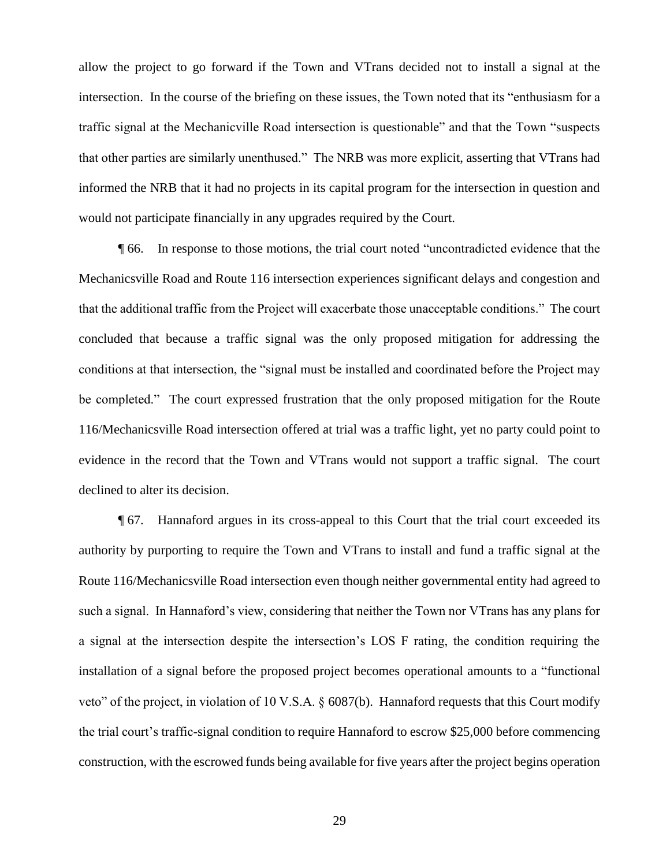allow the project to go forward if the Town and VTrans decided not to install a signal at the intersection. In the course of the briefing on these issues, the Town noted that its "enthusiasm for a traffic signal at the Mechanicville Road intersection is questionable" and that the Town "suspects that other parties are similarly unenthused." The NRB was more explicit, asserting that VTrans had informed the NRB that it had no projects in its capital program for the intersection in question and would not participate financially in any upgrades required by the Court.

¶ 66. In response to those motions, the trial court noted "uncontradicted evidence that the Mechanicsville Road and Route 116 intersection experiences significant delays and congestion and that the additional traffic from the Project will exacerbate those unacceptable conditions." The court concluded that because a traffic signal was the only proposed mitigation for addressing the conditions at that intersection, the "signal must be installed and coordinated before the Project may be completed." The court expressed frustration that the only proposed mitigation for the Route 116/Mechanicsville Road intersection offered at trial was a traffic light, yet no party could point to evidence in the record that the Town and VTrans would not support a traffic signal. The court declined to alter its decision.

¶ 67. Hannaford argues in its cross-appeal to this Court that the trial court exceeded its authority by purporting to require the Town and VTrans to install and fund a traffic signal at the Route 116/Mechanicsville Road intersection even though neither governmental entity had agreed to such a signal. In Hannaford's view, considering that neither the Town nor VTrans has any plans for a signal at the intersection despite the intersection's LOS F rating, the condition requiring the installation of a signal before the proposed project becomes operational amounts to a "functional veto" of the project, in violation of 10 V.S.A. § 6087(b). Hannaford requests that this Court modify the trial court's traffic-signal condition to require Hannaford to escrow \$25,000 before commencing construction, with the escrowed funds being available for five years after the project begins operation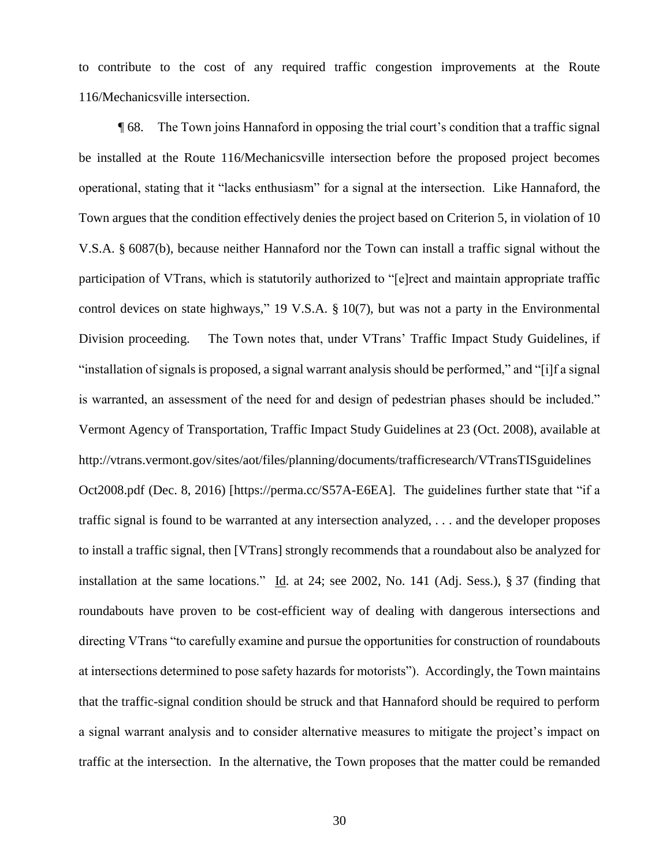to contribute to the cost of any required traffic congestion improvements at the Route 116/Mechanicsville intersection.

¶ 68. The Town joins Hannaford in opposing the trial court's condition that a traffic signal be installed at the Route 116/Mechanicsville intersection before the proposed project becomes operational, stating that it "lacks enthusiasm" for a signal at the intersection. Like Hannaford, the Town argues that the condition effectively denies the project based on Criterion 5, in violation of 10 V.S.A. § 6087(b), because neither Hannaford nor the Town can install a traffic signal without the participation of VTrans, which is statutorily authorized to "[e]rect and maintain appropriate traffic control devices on state highways," 19 V.S.A. § 10(7), but was not a party in the Environmental Division proceeding. The Town notes that, under VTrans' Traffic Impact Study Guidelines, if "installation of signals is proposed, a signal warrant analysis should be performed," and "[i]f a signal is warranted, an assessment of the need for and design of pedestrian phases should be included." Vermont Agency of Transportation, Traffic Impact Study Guidelines at 23 (Oct. 2008), available at http://vtrans.vermont.gov/sites/aot/files/planning/documents/trafficresearch/VTransTISguidelines Oct2008.pdf (Dec. 8, 2016) [https://perma.cc/S57A-E6EA]. The guidelines further state that "if a traffic signal is found to be warranted at any intersection analyzed, . . . and the developer proposes to install a traffic signal, then [VTrans] strongly recommends that a roundabout also be analyzed for installation at the same locations." Id. at 24; see 2002, No. 141 (Adj. Sess.), § 37 (finding that roundabouts have proven to be cost-efficient way of dealing with dangerous intersections and directing VTrans "to carefully examine and pursue the opportunities for construction of roundabouts at intersections determined to pose safety hazards for motorists"). Accordingly, the Town maintains that the traffic-signal condition should be struck and that Hannaford should be required to perform a signal warrant analysis and to consider alternative measures to mitigate the project's impact on traffic at the intersection. In the alternative, the Town proposes that the matter could be remanded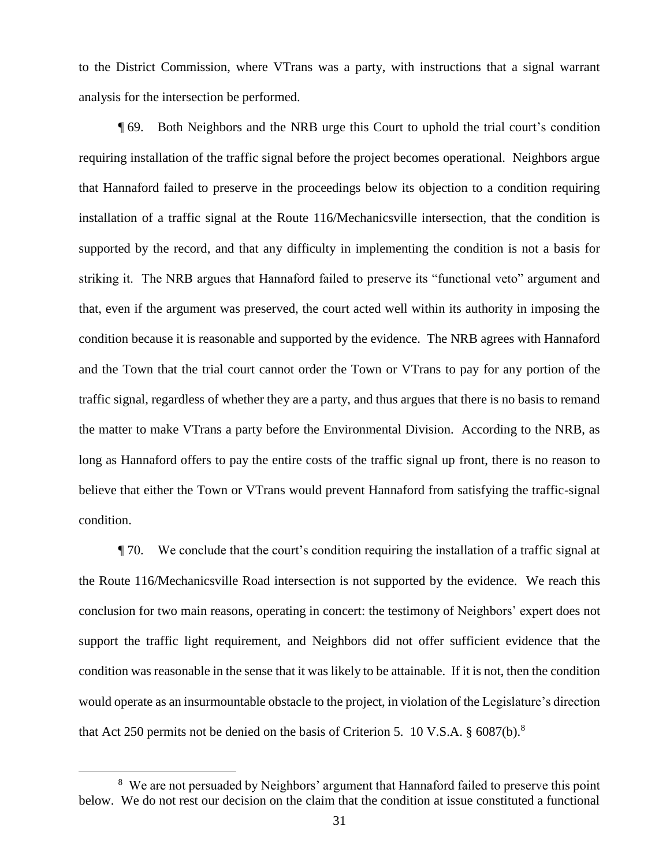to the District Commission, where VTrans was a party, with instructions that a signal warrant analysis for the intersection be performed.

¶ 69. Both Neighbors and the NRB urge this Court to uphold the trial court's condition requiring installation of the traffic signal before the project becomes operational. Neighbors argue that Hannaford failed to preserve in the proceedings below its objection to a condition requiring installation of a traffic signal at the Route 116/Mechanicsville intersection, that the condition is supported by the record, and that any difficulty in implementing the condition is not a basis for striking it. The NRB argues that Hannaford failed to preserve its "functional veto" argument and that, even if the argument was preserved, the court acted well within its authority in imposing the condition because it is reasonable and supported by the evidence. The NRB agrees with Hannaford and the Town that the trial court cannot order the Town or VTrans to pay for any portion of the traffic signal, regardless of whether they are a party, and thus argues that there is no basis to remand the matter to make VTrans a party before the Environmental Division. According to the NRB, as long as Hannaford offers to pay the entire costs of the traffic signal up front, there is no reason to believe that either the Town or VTrans would prevent Hannaford from satisfying the traffic-signal condition.

¶ 70. We conclude that the court's condition requiring the installation of a traffic signal at the Route 116/Mechanicsville Road intersection is not supported by the evidence. We reach this conclusion for two main reasons, operating in concert: the testimony of Neighbors' expert does not support the traffic light requirement, and Neighbors did not offer sufficient evidence that the condition was reasonable in the sense that it was likely to be attainable. If it is not, then the condition would operate as an insurmountable obstacle to the project, in violation of the Legislature's direction that Act 250 permits not be denied on the basis of Criterion 5. 10 V.S.A. § 6087(b).<sup>8</sup>

<sup>&</sup>lt;sup>8</sup> We are not persuaded by Neighbors' argument that Hannaford failed to preserve this point below. We do not rest our decision on the claim that the condition at issue constituted a functional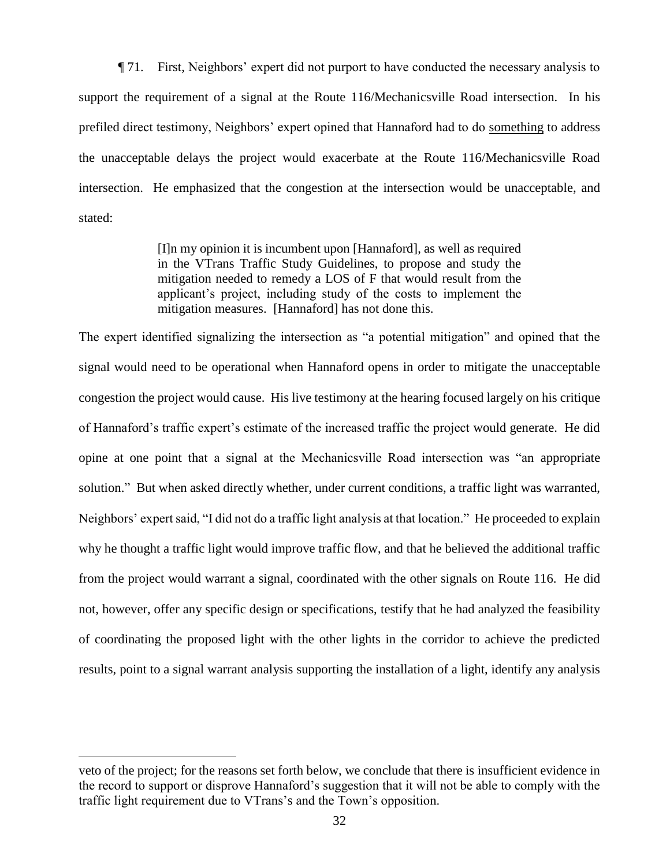¶ 71. First, Neighbors' expert did not purport to have conducted the necessary analysis to support the requirement of a signal at the Route 116/Mechanicsville Road intersection. In his prefiled direct testimony, Neighbors' expert opined that Hannaford had to do something to address the unacceptable delays the project would exacerbate at the Route 116/Mechanicsville Road intersection. He emphasized that the congestion at the intersection would be unacceptable, and stated:

> [I]n my opinion it is incumbent upon [Hannaford], as well as required in the VTrans Traffic Study Guidelines, to propose and study the mitigation needed to remedy a LOS of F that would result from the applicant's project, including study of the costs to implement the mitigation measures. [Hannaford] has not done this.

The expert identified signalizing the intersection as "a potential mitigation" and opined that the signal would need to be operational when Hannaford opens in order to mitigate the unacceptable congestion the project would cause. His live testimony at the hearing focused largely on his critique of Hannaford's traffic expert's estimate of the increased traffic the project would generate. He did opine at one point that a signal at the Mechanicsville Road intersection was "an appropriate solution." But when asked directly whether, under current conditions, a traffic light was warranted, Neighbors' expert said, "I did not do a traffic light analysis at that location." He proceeded to explain why he thought a traffic light would improve traffic flow, and that he believed the additional traffic from the project would warrant a signal, coordinated with the other signals on Route 116. He did not, however, offer any specific design or specifications, testify that he had analyzed the feasibility of coordinating the proposed light with the other lights in the corridor to achieve the predicted results, point to a signal warrant analysis supporting the installation of a light, identify any analysis

veto of the project; for the reasons set forth below, we conclude that there is insufficient evidence in the record to support or disprove Hannaford's suggestion that it will not be able to comply with the traffic light requirement due to VTrans's and the Town's opposition.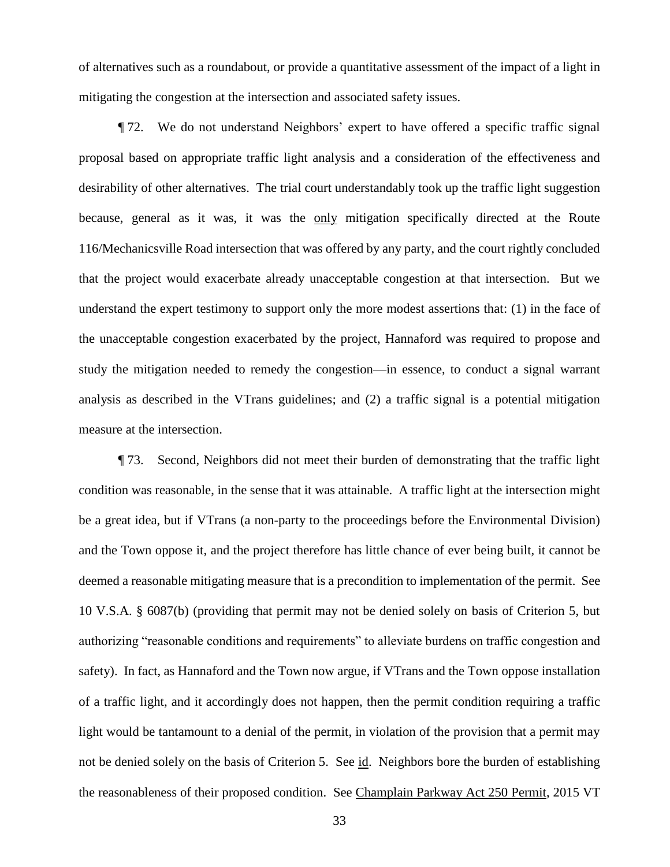of alternatives such as a roundabout, or provide a quantitative assessment of the impact of a light in mitigating the congestion at the intersection and associated safety issues.

¶ 72. We do not understand Neighbors' expert to have offered a specific traffic signal proposal based on appropriate traffic light analysis and a consideration of the effectiveness and desirability of other alternatives. The trial court understandably took up the traffic light suggestion because, general as it was, it was the only mitigation specifically directed at the Route 116/Mechanicsville Road intersection that was offered by any party, and the court rightly concluded that the project would exacerbate already unacceptable congestion at that intersection. But we understand the expert testimony to support only the more modest assertions that: (1) in the face of the unacceptable congestion exacerbated by the project, Hannaford was required to propose and study the mitigation needed to remedy the congestion—in essence, to conduct a signal warrant analysis as described in the VTrans guidelines; and (2) a traffic signal is a potential mitigation measure at the intersection.

¶ 73. Second, Neighbors did not meet their burden of demonstrating that the traffic light condition was reasonable, in the sense that it was attainable. A traffic light at the intersection might be a great idea, but if VTrans (a non-party to the proceedings before the Environmental Division) and the Town oppose it, and the project therefore has little chance of ever being built, it cannot be deemed a reasonable mitigating measure that is a precondition to implementation of the permit. See 10 V.S.A. § 6087(b) (providing that permit may not be denied solely on basis of Criterion 5, but authorizing "reasonable conditions and requirements" to alleviate burdens on traffic congestion and safety). In fact, as Hannaford and the Town now argue, if VTrans and the Town oppose installation of a traffic light, and it accordingly does not happen, then the permit condition requiring a traffic light would be tantamount to a denial of the permit, in violation of the provision that a permit may not be denied solely on the basis of Criterion 5. See id. Neighbors bore the burden of establishing the reasonableness of their proposed condition. See Champlain Parkway Act 250 Permit, 2015 VT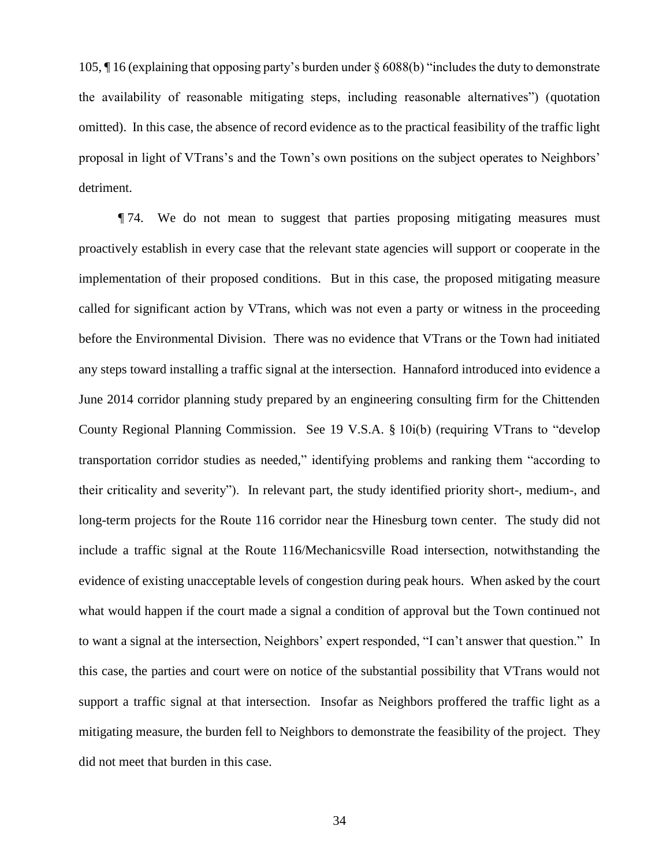105, ¶ 16 (explaining that opposing party's burden under § 6088(b) "includes the duty to demonstrate the availability of reasonable mitigating steps, including reasonable alternatives") (quotation omitted). In this case, the absence of record evidence as to the practical feasibility of the traffic light proposal in light of VTrans's and the Town's own positions on the subject operates to Neighbors' detriment.

¶ 74. We do not mean to suggest that parties proposing mitigating measures must proactively establish in every case that the relevant state agencies will support or cooperate in the implementation of their proposed conditions. But in this case, the proposed mitigating measure called for significant action by VTrans, which was not even a party or witness in the proceeding before the Environmental Division. There was no evidence that VTrans or the Town had initiated any steps toward installing a traffic signal at the intersection. Hannaford introduced into evidence a June 2014 corridor planning study prepared by an engineering consulting firm for the Chittenden County Regional Planning Commission. See 19 V.S.A. § 10i(b) (requiring VTrans to "develop transportation corridor studies as needed," identifying problems and ranking them "according to their criticality and severity"). In relevant part, the study identified priority short-, medium-, and long-term projects for the Route 116 corridor near the Hinesburg town center. The study did not include a traffic signal at the Route 116/Mechanicsville Road intersection, notwithstanding the evidence of existing unacceptable levels of congestion during peak hours. When asked by the court what would happen if the court made a signal a condition of approval but the Town continued not to want a signal at the intersection, Neighbors' expert responded, "I can't answer that question." In this case, the parties and court were on notice of the substantial possibility that VTrans would not support a traffic signal at that intersection. Insofar as Neighbors proffered the traffic light as a mitigating measure, the burden fell to Neighbors to demonstrate the feasibility of the project. They did not meet that burden in this case.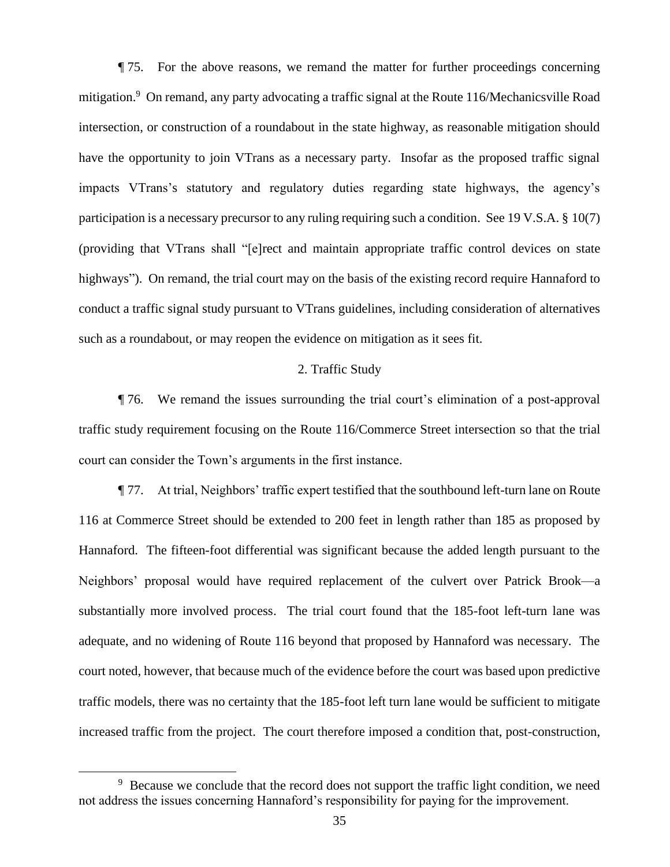¶ 75. For the above reasons, we remand the matter for further proceedings concerning mitigation.<sup>9</sup> On remand, any party advocating a traffic signal at the Route 116/Mechanicsville Road intersection, or construction of a roundabout in the state highway, as reasonable mitigation should have the opportunity to join VTrans as a necessary party. Insofar as the proposed traffic signal impacts VTrans's statutory and regulatory duties regarding state highways, the agency's participation is a necessary precursor to any ruling requiring such a condition. See 19 V.S.A. § 10(7) (providing that VTrans shall "[e]rect and maintain appropriate traffic control devices on state highways"). On remand, the trial court may on the basis of the existing record require Hannaford to conduct a traffic signal study pursuant to VTrans guidelines, including consideration of alternatives such as a roundabout, or may reopen the evidence on mitigation as it sees fit.

## 2. Traffic Study

¶ 76. We remand the issues surrounding the trial court's elimination of a post-approval traffic study requirement focusing on the Route 116/Commerce Street intersection so that the trial court can consider the Town's arguments in the first instance.

¶ 77. At trial, Neighbors' traffic expert testified that the southbound left-turn lane on Route 116 at Commerce Street should be extended to 200 feet in length rather than 185 as proposed by Hannaford. The fifteen-foot differential was significant because the added length pursuant to the Neighbors' proposal would have required replacement of the culvert over Patrick Brook—a substantially more involved process. The trial court found that the 185-foot left-turn lane was adequate, and no widening of Route 116 beyond that proposed by Hannaford was necessary. The court noted, however, that because much of the evidence before the court was based upon predictive traffic models, there was no certainty that the 185-foot left turn lane would be sufficient to mitigate increased traffic from the project. The court therefore imposed a condition that, post-construction,

<sup>&</sup>lt;sup>9</sup> Because we conclude that the record does not support the traffic light condition, we need not address the issues concerning Hannaford's responsibility for paying for the improvement.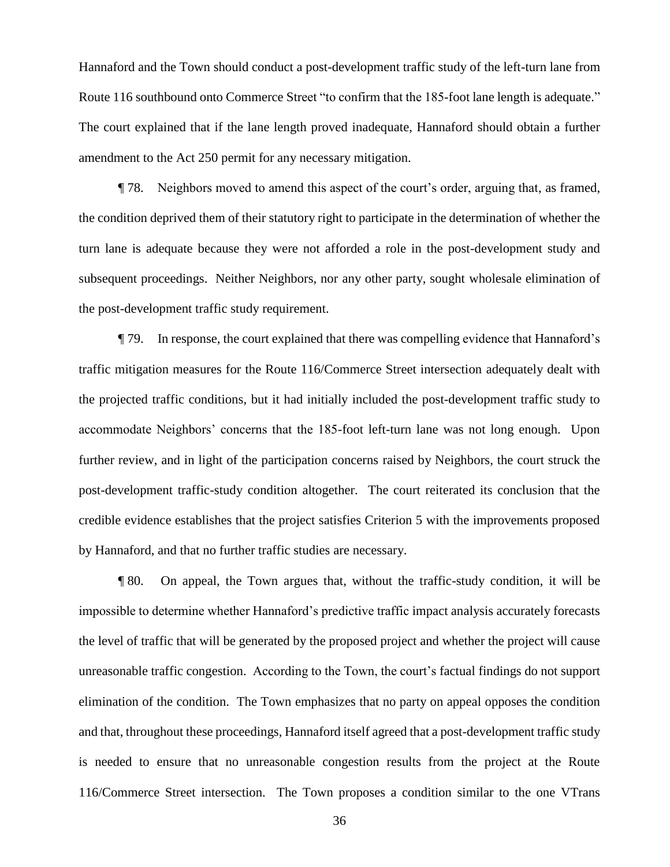Hannaford and the Town should conduct a post-development traffic study of the left-turn lane from Route 116 southbound onto Commerce Street "to confirm that the 185-foot lane length is adequate." The court explained that if the lane length proved inadequate, Hannaford should obtain a further amendment to the Act 250 permit for any necessary mitigation.

¶ 78. Neighbors moved to amend this aspect of the court's order, arguing that, as framed, the condition deprived them of their statutory right to participate in the determination of whether the turn lane is adequate because they were not afforded a role in the post-development study and subsequent proceedings. Neither Neighbors, nor any other party, sought wholesale elimination of the post-development traffic study requirement.

¶ 79. In response, the court explained that there was compelling evidence that Hannaford's traffic mitigation measures for the Route 116/Commerce Street intersection adequately dealt with the projected traffic conditions, but it had initially included the post-development traffic study to accommodate Neighbors' concerns that the 185-foot left-turn lane was not long enough. Upon further review, and in light of the participation concerns raised by Neighbors, the court struck the post-development traffic-study condition altogether. The court reiterated its conclusion that the credible evidence establishes that the project satisfies Criterion 5 with the improvements proposed by Hannaford, and that no further traffic studies are necessary.

¶ 80. On appeal, the Town argues that, without the traffic-study condition, it will be impossible to determine whether Hannaford's predictive traffic impact analysis accurately forecasts the level of traffic that will be generated by the proposed project and whether the project will cause unreasonable traffic congestion. According to the Town, the court's factual findings do not support elimination of the condition. The Town emphasizes that no party on appeal opposes the condition and that, throughout these proceedings, Hannaford itself agreed that a post-development traffic study is needed to ensure that no unreasonable congestion results from the project at the Route 116/Commerce Street intersection.The Town proposes a condition similar to the one VTrans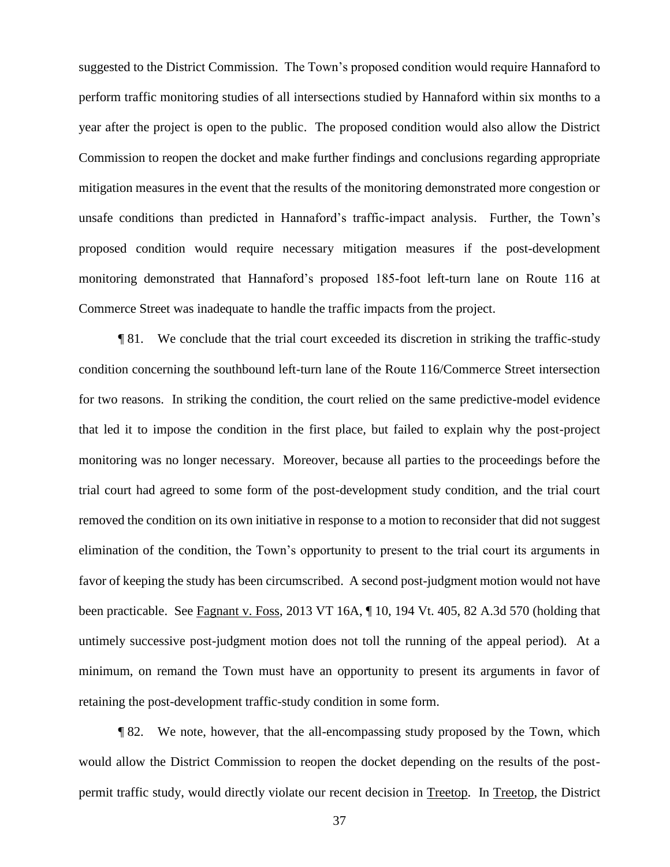suggested to the District Commission. The Town's proposed condition would require Hannaford to perform traffic monitoring studies of all intersections studied by Hannaford within six months to a year after the project is open to the public. The proposed condition would also allow the District Commission to reopen the docket and make further findings and conclusions regarding appropriate mitigation measures in the event that the results of the monitoring demonstrated more congestion or unsafe conditions than predicted in Hannaford's traffic-impact analysis. Further, the Town's proposed condition would require necessary mitigation measures if the post-development monitoring demonstrated that Hannaford's proposed 185-foot left-turn lane on Route 116 at Commerce Street was inadequate to handle the traffic impacts from the project.

¶ 81. We conclude that the trial court exceeded its discretion in striking the traffic-study condition concerning the southbound left-turn lane of the Route 116/Commerce Street intersection for two reasons. In striking the condition, the court relied on the same predictive-model evidence that led it to impose the condition in the first place, but failed to explain why the post-project monitoring was no longer necessary. Moreover, because all parties to the proceedings before the trial court had agreed to some form of the post-development study condition, and the trial court removed the condition on its own initiative in response to a motion to reconsider that did not suggest elimination of the condition, the Town's opportunity to present to the trial court its arguments in favor of keeping the study has been circumscribed. A second post-judgment motion would not have been practicable. See Fagnant v. Foss, 2013 VT 16A, ¶ 10, 194 Vt. 405, 82 A.3d 570 (holding that untimely successive post-judgment motion does not toll the running of the appeal period). At a minimum, on remand the Town must have an opportunity to present its arguments in favor of retaining the post-development traffic-study condition in some form.

¶ 82. We note, however, that the all-encompassing study proposed by the Town, which would allow the District Commission to reopen the docket depending on the results of the postpermit traffic study, would directly violate our recent decision in Treetop. In Treetop, the District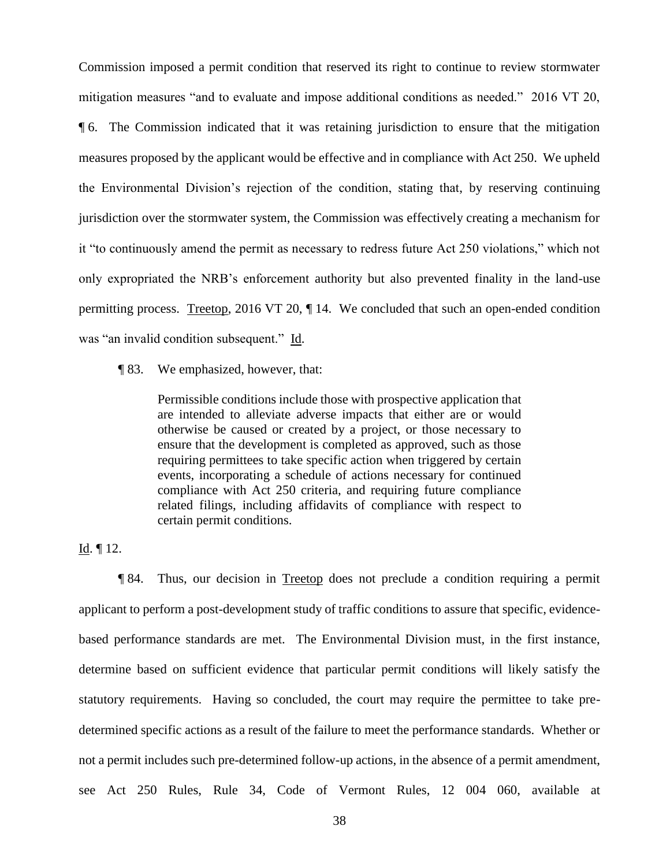Commission imposed a permit condition that reserved its right to continue to review stormwater mitigation measures "and to evaluate and impose additional conditions as needed." 2016 VT 20, ¶ 6. The Commission indicated that it was retaining jurisdiction to ensure that the mitigation measures proposed by the applicant would be effective and in compliance with Act 250. We upheld the Environmental Division's rejection of the condition, stating that, by reserving continuing jurisdiction over the stormwater system, the Commission was effectively creating a mechanism for it "to continuously amend the permit as necessary to redress future Act 250 violations," which not only expropriated the NRB's enforcement authority but also prevented finality in the land-use permitting process. Treetop, 2016 VT 20, ¶ 14. We concluded that such an open-ended condition was "an invalid condition subsequent." Id.

¶ 83. We emphasized, however, that:

Permissible conditions include those with prospective application that are intended to alleviate adverse impacts that either are or would otherwise be caused or created by a project, or those necessary to ensure that the development is completed as approved, such as those requiring permittees to take specific action when triggered by certain events, incorporating a schedule of actions necessary for continued compliance with Act 250 criteria, and requiring future compliance related filings, including affidavits of compliance with respect to certain permit conditions.

# Id. ¶ 12.

¶ 84. Thus, our decision in Treetop does not preclude a condition requiring a permit applicant to perform a post-development study of traffic conditions to assure that specific, evidencebased performance standards are met. The Environmental Division must, in the first instance, determine based on sufficient evidence that particular permit conditions will likely satisfy the statutory requirements. Having so concluded, the court may require the permittee to take predetermined specific actions as a result of the failure to meet the performance standards. Whether or not a permit includes such pre-determined follow-up actions, in the absence of a permit amendment, see Act 250 Rules, Rule 34, Code of Vermont Rules, 12 004 060, available at